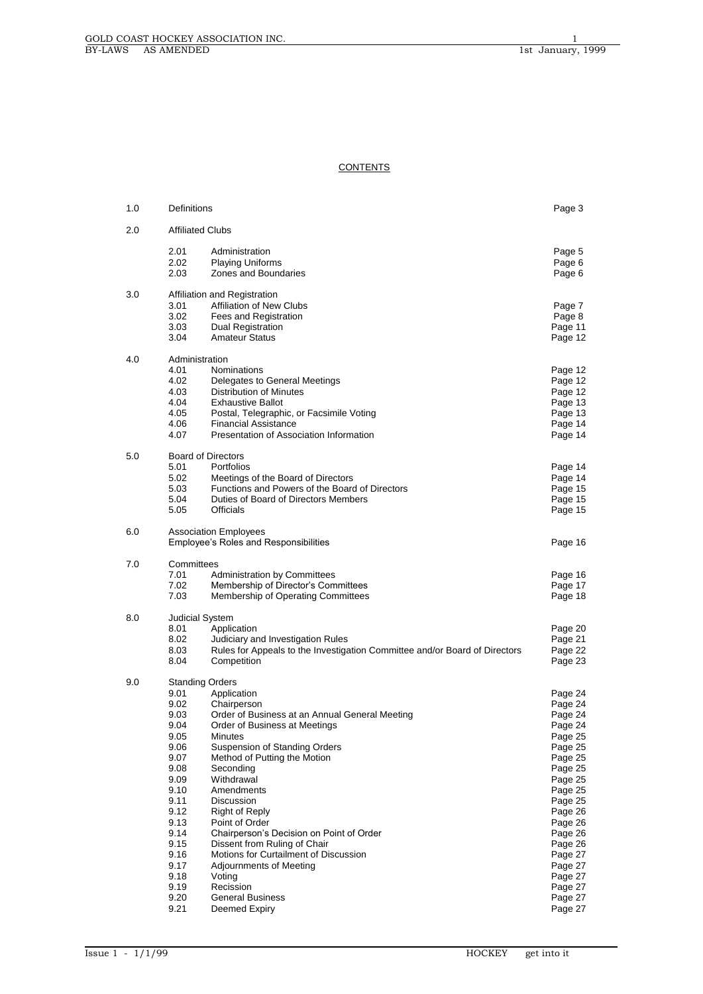# **CONTENTS**

| 1.0 | Definitions                                                                                                                                                          |                                                                                                                                                                                                                                                                                                                                                                                                                                                                                                                                          | Page 3                                                                                                                                                                                                                              |
|-----|----------------------------------------------------------------------------------------------------------------------------------------------------------------------|------------------------------------------------------------------------------------------------------------------------------------------------------------------------------------------------------------------------------------------------------------------------------------------------------------------------------------------------------------------------------------------------------------------------------------------------------------------------------------------------------------------------------------------|-------------------------------------------------------------------------------------------------------------------------------------------------------------------------------------------------------------------------------------|
| 2.0 | <b>Affiliated Clubs</b>                                                                                                                                              |                                                                                                                                                                                                                                                                                                                                                                                                                                                                                                                                          |                                                                                                                                                                                                                                     |
|     | 2.01<br>2.02<br>2.03                                                                                                                                                 | Administration<br><b>Playing Uniforms</b><br>Zones and Boundaries                                                                                                                                                                                                                                                                                                                                                                                                                                                                        | Page 5<br>Page 6<br>Page 6                                                                                                                                                                                                          |
| 3.0 | 3.01<br>3.02<br>3.03<br>3.04                                                                                                                                         | Affiliation and Registration<br>Affiliation of New Clubs<br>Fees and Registration<br><b>Dual Registration</b><br><b>Amateur Status</b>                                                                                                                                                                                                                                                                                                                                                                                                   | Page 7<br>Page 8<br>Page 11<br>Page 12                                                                                                                                                                                              |
| 4.0 | Administration<br>4.01<br>4.02<br>4.03<br>4.04<br>4.05<br>4.06<br>4.07                                                                                               | Nominations<br>Delegates to General Meetings<br>Distribution of Minutes<br><b>Exhaustive Ballot</b><br>Postal, Telegraphic, or Facsimile Voting<br><b>Financial Assistance</b><br>Presentation of Association Information                                                                                                                                                                                                                                                                                                                | Page 12<br>Page 12<br>Page 12<br>Page 13<br>Page 13<br>Page 14<br>Page 14                                                                                                                                                           |
| 5.0 | 5.01<br>5.02<br>5.03<br>5.04<br>5.05                                                                                                                                 | <b>Board of Directors</b><br>Portfolios<br>Meetings of the Board of Directors<br>Functions and Powers of the Board of Directors<br>Duties of Board of Directors Members<br><b>Officials</b>                                                                                                                                                                                                                                                                                                                                              | Page 14<br>Page 14<br>Page 15<br>Page 15<br>Page 15                                                                                                                                                                                 |
| 6.0 |                                                                                                                                                                      | <b>Association Employees</b><br>Employee's Roles and Responsibilities                                                                                                                                                                                                                                                                                                                                                                                                                                                                    | Page 16                                                                                                                                                                                                                             |
| 7.0 | Committees<br>7.01<br>7.02<br>7.03                                                                                                                                   | <b>Administration by Committees</b><br>Membership of Director's Committees<br>Membership of Operating Committees                                                                                                                                                                                                                                                                                                                                                                                                                         | Page 16<br>Page 17<br>Page 18                                                                                                                                                                                                       |
| 8.0 | Judicial System<br>8.01<br>8.02<br>8.03<br>8.04                                                                                                                      | Application<br>Judiciary and Investigation Rules<br>Rules for Appeals to the Investigation Committee and/or Board of Directors<br>Competition                                                                                                                                                                                                                                                                                                                                                                                            | Page 20<br>Page 21<br>Page 22<br>Page 23                                                                                                                                                                                            |
| 9.0 | 9.01<br>9.02<br>9.03<br>9.04<br>9.05<br>9.06<br>9.07<br>9.08<br>9.09<br>9.10<br>9.11<br>9.12<br>9.13<br>9.14<br>9.15<br>9.16<br>9.17<br>9.18<br>9.19<br>9.20<br>9.21 | <b>Standing Orders</b><br>Application<br>Chairperson<br>Order of Business at an Annual General Meeting<br>Order of Business at Meetings<br>Minutes<br><b>Suspension of Standing Orders</b><br>Method of Putting the Motion<br>Seconding<br>Withdrawal<br>Amendments<br>Discussion<br>Right of Reply<br>Point of Order<br>Chairperson's Decision on Point of Order<br>Dissent from Ruling of Chair<br>Motions for Curtailment of Discussion<br>Adjournments of Meeting<br>Voting<br>Recission<br><b>General Business</b><br>Deemed Expiry | Page 24<br>Page 24<br>Page 24<br>Page 24<br>Page 25<br>Page 25<br>Page 25<br>Page 25<br>Page 25<br>Page 25<br>Page 25<br>Page 26<br>Page 26<br>Page 26<br>Page 26<br>Page 27<br>Page 27<br>Page 27<br>Page 27<br>Page 27<br>Page 27 |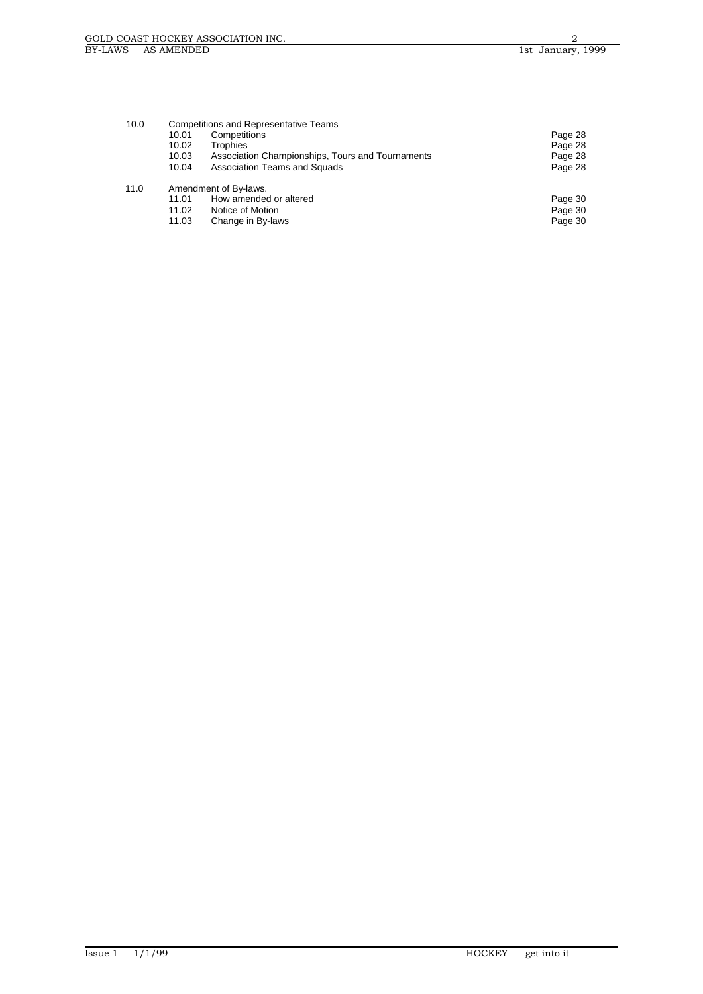| 10.0 | <b>Competitions and Representative Teams</b><br>Competitions<br>10.01<br>10.02<br>Trophies |                                                                                          | Page 28<br>Page 28            |
|------|--------------------------------------------------------------------------------------------|------------------------------------------------------------------------------------------|-------------------------------|
|      | 10.03<br>10.04                                                                             | Association Championships, Tours and Tournaments<br>Association Teams and Squads         | Page 28<br>Page 28            |
| 11.0 | 11.01<br>11.02<br>11.03                                                                    | Amendment of By-laws.<br>How amended or altered<br>Notice of Motion<br>Change in By-laws | Page 30<br>Page 30<br>Page 30 |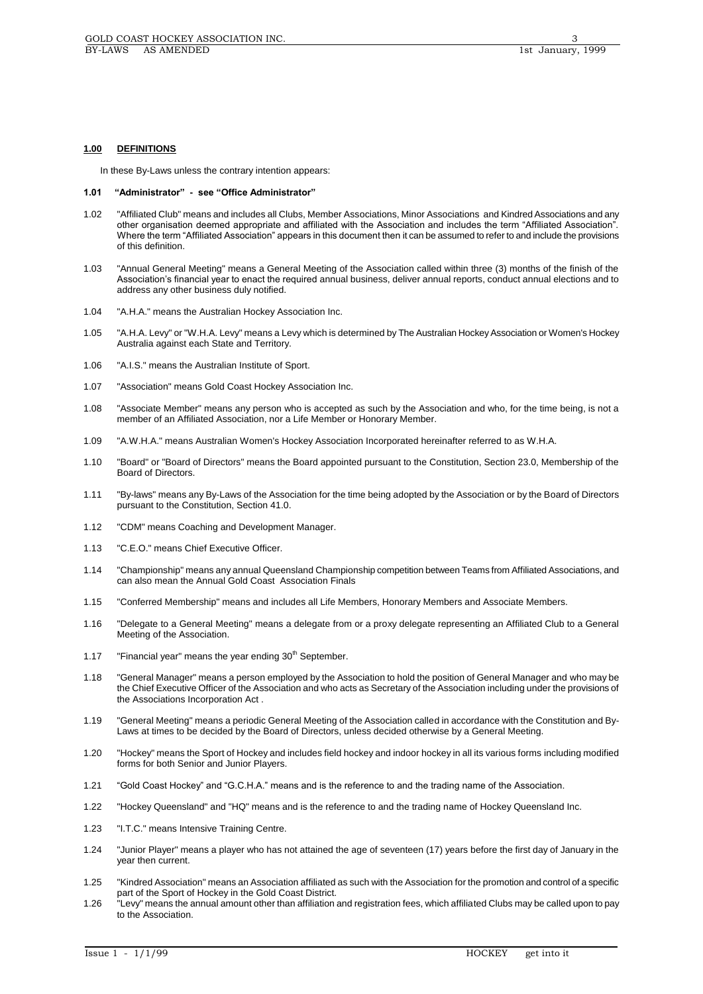# **1.00 DEFINITIONS**

In these By-Laws unless the contrary intention appears:

#### **1.01 "Administrator" - see "Office Administrator"**

- 1.02 "Affiliated Club" means and includes all Clubs, Member Associations, Minor Associations and Kindred Associations and any other organisation deemed appropriate and affiliated with the Association and includes the term "Affiliated Association". Where the term "Affiliated Association" appears in this document then it can be assumed to refer to and include the provisions of this definition.
- 1.03 "Annual General Meeting" means a General Meeting of the Association called within three (3) months of the finish of the Association's financial year to enact the required annual business, deliver annual reports, conduct annual elections and to address any other business duly notified.
- 1.04 "A.H.A." means the Australian Hockey Association Inc.
- 1.05 "A.H.A. Levy" or "W.H.A. Levy" means a Levy which is determined by The Australian Hockey Association or Women's Hockey Australia against each State and Territory.
- 1.06 "A.I.S." means the Australian Institute of Sport.
- 1.07 "Association" means Gold Coast Hockey Association Inc.
- 1.08 "Associate Member" means any person who is accepted as such by the Association and who, for the time being, is not a member of an Affiliated Association, nor a Life Member or Honorary Member.
- 1.09 "A.W.H.A." means Australian Women's Hockey Association Incorporated hereinafter referred to as W.H.A.
- 1.10 "Board" or "Board of Directors" means the Board appointed pursuant to the Constitution, Section 23.0, Membership of the Board of Directors.
- 1.11 "By-laws" means any By-Laws of the Association for the time being adopted by the Association or by the Board of Directors pursuant to the Constitution, Section 41.0.
- 1.12 "CDM" means Coaching and Development Manager.
- 1.13 "C.E.O." means Chief Executive Officer.
- 1.14 "Championship" means any annual Queensland Championship competition between Teams from Affiliated Associations, and can also mean the Annual Gold Coast Association Finals
- 1.15 "Conferred Membership" means and includes all Life Members, Honorary Members and Associate Members.
- 1.16 "Delegate to a General Meeting" means a delegate from or a proxy delegate representing an Affiliated Club to a General Meeting of the Association.
- 1.17 "Financial year" means the year ending  $30<sup>th</sup>$  September.
- 1.18 "General Manager" means a person employed by the Association to hold the position of General Manager and who may be the Chief Executive Officer of the Association and who acts as Secretary of the Association including under the provisions of the Associations Incorporation Act .
- 1.19 "General Meeting" means a periodic General Meeting of the Association called in accordance with the Constitution and By-Laws at times to be decided by the Board of Directors, unless decided otherwise by a General Meeting.
- 1.20 "Hockey" means the Sport of Hockey and includes field hockey and indoor hockey in all its various forms including modified forms for both Senior and Junior Players.
- 1.21 "Gold Coast Hockey" and "G.C.H.A." means and is the reference to and the trading name of the Association.
- 1.22 "Hockey Queensland" and "HQ" means and is the reference to and the trading name of Hockey Queensland Inc.
- 1.23 "I.T.C." means Intensive Training Centre.
- 1.24 "Junior Player" means a player who has not attained the age of seventeen (17) years before the first day of January in the year then current.
- 1.25 "Kindred Association" means an Association affiliated as such with the Association for the promotion and control of a specific part of the Sport of Hockey in the Gold Coast District.
- 1.26 "Levy" means the annual amount other than affiliation and registration fees, which affiliated Clubs may be called upon to pay to the Association.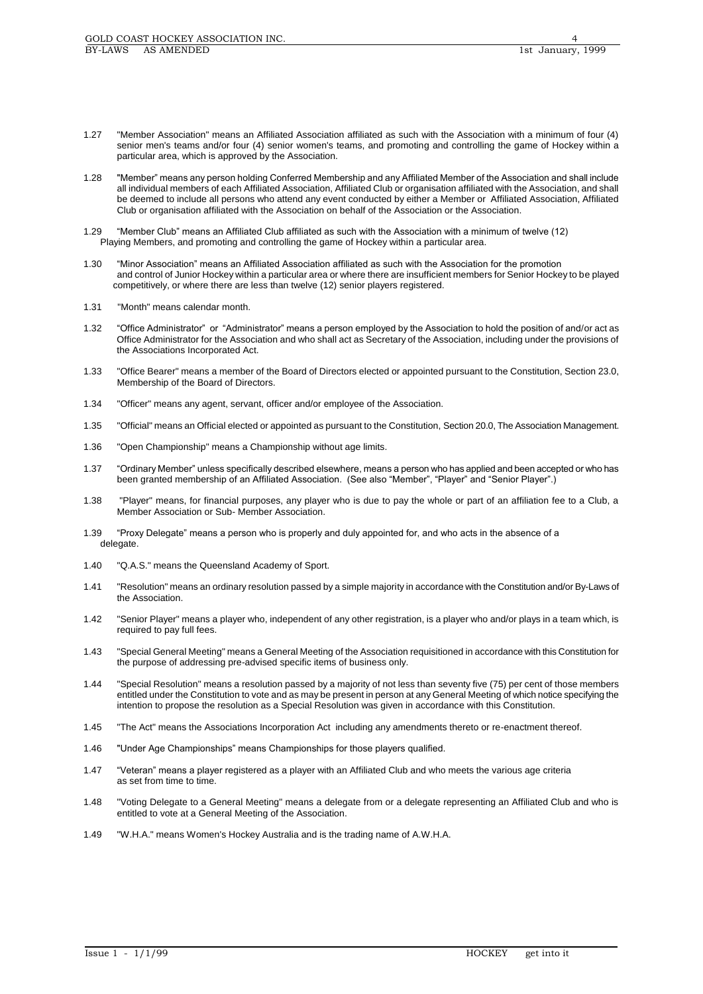- 1.27 "Member Association" means an Affiliated Association affiliated as such with the Association with a minimum of four (4) senior men's teams and/or four (4) senior women's teams, and promoting and controlling the game of Hockey within a particular area, which is approved by the Association.
- 1.28 "Member" means any person holding Conferred Membership and any Affiliated Member of the Association and shall include all individual members of each Affiliated Association, Affiliated Club or organisation affiliated with the Association, and shall be deemed to include all persons who attend any event conducted by either a Member or Affiliated Association, Affiliated Club or organisation affiliated with the Association on behalf of the Association or the Association.
- 1.29 "Member Club" means an Affiliated Club affiliated as such with the Association with a minimum of twelve (12) Playing Members, and promoting and controlling the game of Hockey within a particular area.
- 1.30 "Minor Association" means an Affiliated Association affiliated as such with the Association for the promotion and control of Junior Hockey within a particular area or where there are insufficient members for Senior Hockey to be played competitively, or where there are less than twelve (12) senior players registered.
- 1.31 "Month" means calendar month.
- 1.32 "Office Administrator" or "Administrator" means a person employed by the Association to hold the position of and/or act as Office Administrator for the Association and who shall act as Secretary of the Association, including under the provisions of the Associations Incorporated Act.
- 1.33 "Office Bearer" means a member of the Board of Directors elected or appointed pursuant to the Constitution, Section 23.0, Membership of the Board of Directors.
- 1.34 "Officer" means any agent, servant, officer and/or employee of the Association.
- 1.35 "Official" means an Official elected or appointed as pursuant to the Constitution, Section 20.0, The Association Management.
- 1.36 "Open Championship" means a Championship without age limits.
- 1.37 "Ordinary Member" unless specifically described elsewhere, means a person who has applied and been accepted or who has been granted membership of an Affiliated Association. (See also "Member", "Player" and "Senior Player".)
- 1.38 "Player" means, for financial purposes, any player who is due to pay the whole or part of an affiliation fee to a Club, a Member Association or Sub- Member Association.
- 1.39 "Proxy Delegate" means a person who is properly and duly appointed for, and who acts in the absence of a delegate.
- 1.40 "Q.A.S." means the Queensland Academy of Sport.
- 1.41 "Resolution" means an ordinary resolution passed by a simple majority in accordance with the Constitution and/or By-Laws of the Association.
- 1.42 "Senior Player" means a player who, independent of any other registration, is a player who and/or plays in a team which, is required to pay full fees.
- 1.43 "Special General Meeting" means a General Meeting of the Association requisitioned in accordance with this Constitution for the purpose of addressing pre-advised specific items of business only.
- 1.44 "Special Resolution" means a resolution passed by a majority of not less than seventy five (75) per cent of those members entitled under the Constitution to vote and as may be present in person at any General Meeting of which notice specifying the intention to propose the resolution as a Special Resolution was given in accordance with this Constitution.
- 1.45 "The Act" means the Associations Incorporation Act including any amendments thereto or re-enactment thereof.
- 1.46 "Under Age Championships" means Championships for those players qualified.
- 1.47 "Veteran" means a player registered as a player with an Affiliated Club and who meets the various age criteria as set from time to time.
- 1.48 "Voting Delegate to a General Meeting" means a delegate from or a delegate representing an Affiliated Club and who is entitled to vote at a General Meeting of the Association.
- 1.49 "W.H.A." means Women's Hockey Australia and is the trading name of A.W.H.A.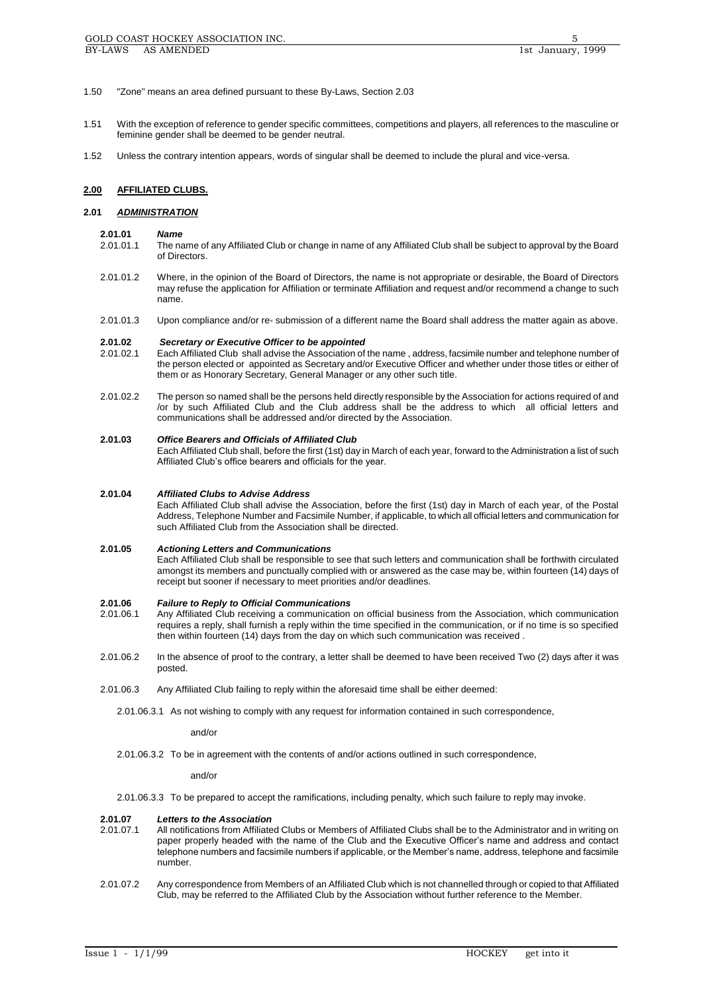- 1.50 "Zone" means an area defined pursuant to these By-Laws, Section 2.03
- 1.51 With the exception of reference to gender specific committees, competitions and players, all references to the masculine or feminine gender shall be deemed to be gender neutral.
- 1.52 Unless the contrary intention appears, words of singular shall be deemed to include the plural and vice-versa.

## **2.00 AFFILIATED CLUBS.**

## **2.01** *ADMINISTRATION*

#### **2.01.01** *Name*

- 2.01.01.1 The name of any Affiliated Club or change in name of any Affiliated Club shall be subject to approval by the Board of Directors.
- 2.01.01.2 Where, in the opinion of the Board of Directors, the name is not appropriate or desirable, the Board of Directors may refuse the application for Affiliation or terminate Affiliation and request and/or recommend a change to such name.
- 2.01.01.3 Upon compliance and/or re- submission of a different name the Board shall address the matter again as above.

# **2.01.02** *Secretary or Executive Officer to be appointed*

- 2.01.02.1 Each Affiliated Club shall advise the Association of the name , address, facsimile number and telephone number of the person elected or appointed as Secretary and/or Executive Officer and whether under those titles or either of them or as Honorary Secretary, General Manager or any other such title.
- 2.01.02.2 The person so named shall be the persons held directly responsible by the Association for actions required of and /or by such Affiliated Club and the Club address shall be the address to which all official letters and communications shall be addressed and/or directed by the Association.

#### **2.01.03** *Office Bearers and Officials of Affiliated Club*

Each Affiliated Club shall, before the first (1st) day in March of each year, forward to the Administration a list of such Affiliated Club's office bearers and officials for the year.

#### **2.01.04** *Affiliated Clubs to Advise Address*

Each Affiliated Club shall advise the Association, before the first (1st) day in March of each year, of the Postal Address, Telephone Number and Facsimile Number, if applicable, to which all official letters and communication for such Affiliated Club from the Association shall be directed.

#### **2.01.05** *Actioning Letters and Communications*

Each Affiliated Club shall be responsible to see that such letters and communication shall be forthwith circulated amongst its members and punctually complied with or answered as the case may be, within fourteen (14) days of receipt but sooner if necessary to meet priorities and/or deadlines.

# **2.01.06** *Failure to Reply to Official Communications*

- Any Affiliated Club receiving a communication on official business from the Association, which communication requires a reply, shall furnish a reply within the time specified in the communication, or if no time is so specified then within fourteen (14) days from the day on which such communication was received .
- 2.01.06.2 In the absence of proof to the contrary, a letter shall be deemed to have been received Two (2) days after it was posted.
- 2.01.06.3 Any Affiliated Club failing to reply within the aforesaid time shall be either deemed:
	- 2.01.06.3.1 As not wishing to comply with any request for information contained in such correspondence,

#### and/or

2.01.06.3.2 To be in agreement with the contents of and/or actions outlined in such correspondence,

#### and/or

2.01.06.3.3 To be prepared to accept the ramifications, including penalty, which such failure to reply may invoke.

## **2.01.07** *Letters to the Association*

- 2.01.07.1 All notifications from Affiliated Clubs or Members of Affiliated Clubs shall be to the Administrator and in writing on paper properly headed with the name of the Club and the Executive Officer's name and address and contact telephone numbers and facsimile numbers if applicable, or the Member's name, address, telephone and facsimile number.
- 2.01.07.2 Any correspondence from Members of an Affiliated Club which is not channelled through or copied to that Affiliated Club, may be referred to the Affiliated Club by the Association without further reference to the Member.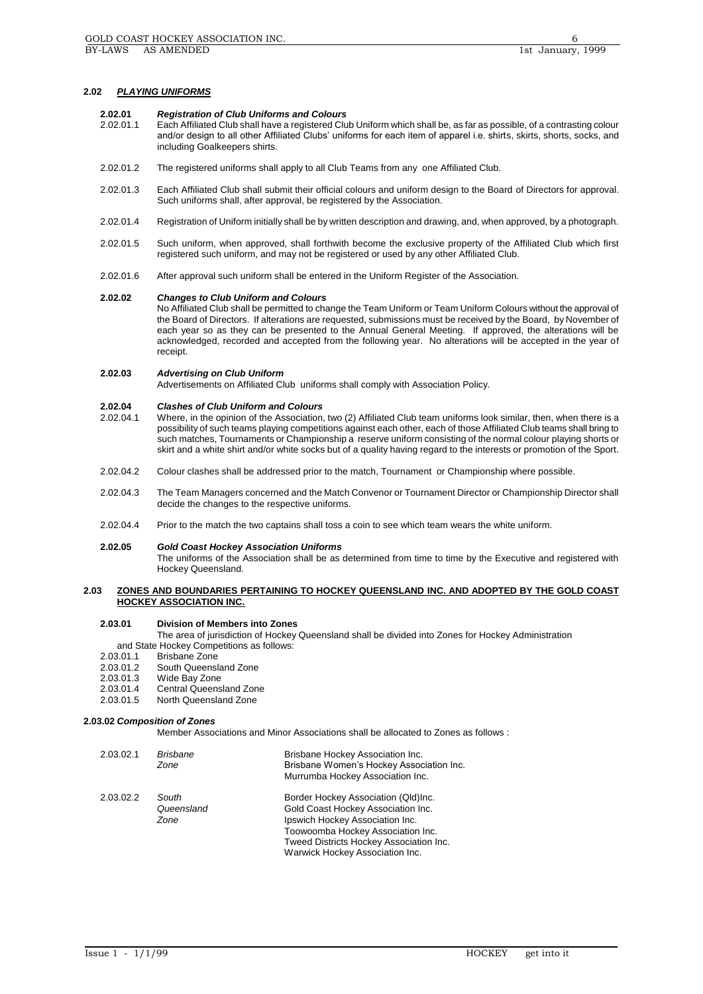## **2.02** *PLAYING UNIFORMS*

#### **2.02.01** *Registration of Club Uniforms and Colours*

- 2.02.01.1 Each Affiliated Club shall have a registered Club Uniform which shall be, as far as possible, of a contrasting colour and/or design to all other Affiliated Clubs' uniforms for each item of apparel i.e. shirts, skirts, shorts, socks, and including Goalkeepers shirts.
- 2.02.01.2 The registered uniforms shall apply to all Club Teams from any one Affiliated Club.
- 2.02.01.3 Each Affiliated Club shall submit their official colours and uniform design to the Board of Directors for approval. Such uniforms shall, after approval, be registered by the Association.
- 2.02.01.4 Registration of Uniform initially shall be by written description and drawing, and, when approved, by a photograph.
- 2.02.01.5 Such uniform, when approved, shall forthwith become the exclusive property of the Affiliated Club which first registered such uniform, and may not be registered or used by any other Affiliated Club.
- 2.02.01.6 After approval such uniform shall be entered in the Uniform Register of the Association.

#### **2.02.02** *Changes to Club Uniform and Colours*

No Affiliated Club shall be permitted to change the Team Uniform or Team Uniform Colours without the approval of the Board of Directors. If alterations are requested, submissions must be received by the Board, by November of each year so as they can be presented to the Annual General Meeting. If approved, the alterations will be acknowledged, recorded and accepted from the following year. No alterations will be accepted in the year of receipt.

#### **2.02.03** *Advertising on Club Uniform*

Advertisements on Affiliated Club uniforms shall comply with Association Policy.

# **2.02.04** *Clashes of Club Uniform and Colours*

- Where, in the opinion of the Association, two (2) Affiliated Club team uniforms look similar, then, when there is a possibility of such teams playing competitions against each other, each of those Affiliated Club teams shall bring to such matches, Tournaments or Championship a reserve uniform consisting of the normal colour playing shorts or skirt and a white shirt and/or white socks but of a quality having regard to the interests or promotion of the Sport.
- 2.02.04.2 Colour clashes shall be addressed prior to the match, Tournament or Championship where possible.
- 2.02.04.3 The Team Managers concerned and the Match Convenor or Tournament Director or Championship Director shall decide the changes to the respective uniforms.
- 2.02.04.4 Prior to the match the two captains shall toss a coin to see which team wears the white uniform.

### **2.02.05** *Gold Coast Hockey Association Uniforms*

The uniforms of the Association shall be as determined from time to time by the Executive and registered with Hockey Queensland.

# **2.03 ZONES AND BOUNDARIES PERTAINING TO HOCKEY QUEENSLAND INC. AND ADOPTED BY THE GOLD COAST HOCKEY ASSOCIATION INC.**

#### **2.03.01 Division of Members into Zones**

The area of jurisdiction of Hockey Queensland shall be divided into Zones for Hockey Administration and State Hockey Competitions as follows:<br>2.03.01.1 Brisbane Zone

- Brisbane Zone
- 2.03.01.2 South Queensland Zone
- 2.03.01.3 Wide Bay Zone<br>2.03.01.4 Central Queens
- 2.03.01.4 Central Queensland Zone<br>2.03.01.5 North Queensland Zone
- North Queensland Zone

## **2.03.02** *Composition of Zones*

Member Associations and Minor Associations shall be allocated to Zones as follows :

| 2.03.02.1 | Brisbane<br>Zone            | Brisbane Hockey Association Inc.<br>Brisbane Women's Hockey Association Inc.<br>Murrumba Hockey Association Inc.                                                                                                                |
|-----------|-----------------------------|---------------------------------------------------------------------------------------------------------------------------------------------------------------------------------------------------------------------------------|
| 2.03.02.2 | South<br>Queensland<br>Zone | Border Hockey Association (Qld)Inc.<br>Gold Coast Hockey Association Inc.<br>Ipswich Hockey Association Inc.<br>Toowoomba Hockey Association Inc.<br>Tweed Districts Hockey Association Inc.<br>Warwick Hockey Association Inc. |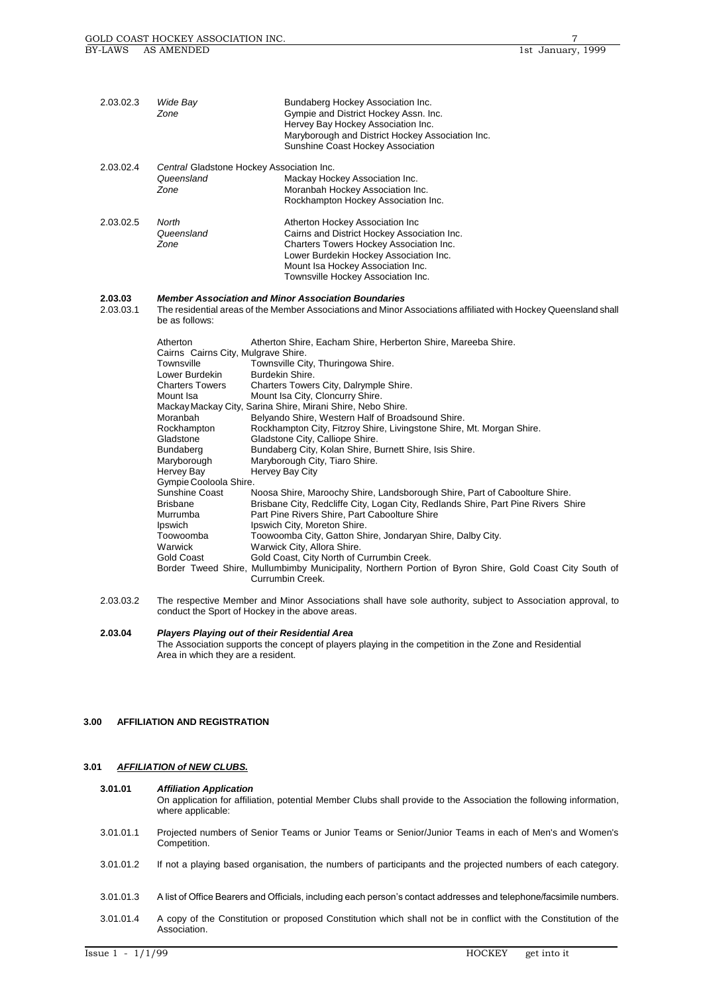| 2.03.02.3            | Wide Bay<br>Zone                                                                                                                                                                                                                                                                                                                            | Bundaberg Hockey Association Inc.<br>Gympie and District Hockey Assn. Inc.<br>Hervey Bay Hockey Association Inc.<br>Maryborough and District Hockey Association Inc.<br>Sunshine Coast Hockey Association                                                                                                                                                                                                                                                                                                                                                                                                                                                                                                                                                                                                                                                                                                                                                                                                                                                                          |
|----------------------|---------------------------------------------------------------------------------------------------------------------------------------------------------------------------------------------------------------------------------------------------------------------------------------------------------------------------------------------|------------------------------------------------------------------------------------------------------------------------------------------------------------------------------------------------------------------------------------------------------------------------------------------------------------------------------------------------------------------------------------------------------------------------------------------------------------------------------------------------------------------------------------------------------------------------------------------------------------------------------------------------------------------------------------------------------------------------------------------------------------------------------------------------------------------------------------------------------------------------------------------------------------------------------------------------------------------------------------------------------------------------------------------------------------------------------------|
| 2.03.02.4            | Central Gladstone Hockey Association Inc.<br>Queensland<br>Zone                                                                                                                                                                                                                                                                             | Mackay Hockey Association Inc.<br>Moranbah Hockey Association Inc.<br>Rockhampton Hockey Association Inc.                                                                                                                                                                                                                                                                                                                                                                                                                                                                                                                                                                                                                                                                                                                                                                                                                                                                                                                                                                          |
| 2.03.02.5            | North<br>Queensland<br>Zone                                                                                                                                                                                                                                                                                                                 | Atherton Hockey Association Inc<br>Cairns and District Hockey Association Inc.<br>Charters Towers Hockey Association Inc.<br>Lower Burdekin Hockey Association Inc.<br>Mount Isa Hockey Association Inc.<br>Townsville Hockey Association Inc.                                                                                                                                                                                                                                                                                                                                                                                                                                                                                                                                                                                                                                                                                                                                                                                                                                     |
| 2.03.03<br>2.03.03.1 | be as follows:                                                                                                                                                                                                                                                                                                                              | <b>Member Association and Minor Association Boundaries</b><br>The residential areas of the Member Associations and Minor Associations affiliated with Hockey Queensland shall                                                                                                                                                                                                                                                                                                                                                                                                                                                                                                                                                                                                                                                                                                                                                                                                                                                                                                      |
|                      | Atherton<br>Cairns Cairns City, Mulgrave Shire.<br>Townsville<br>Lower Burdekin<br><b>Charters Towers</b><br>Mount Isa<br>Moranbah<br>Rockhampton<br>Gladstone<br>Bundaberg<br>Maryborough<br>Hervey Bay<br>Gympie Cooloola Shire.<br>Sunshine Coast<br><b>Brisbane</b><br>Murrumba<br>Ipswich<br>Toowoomba<br>Warwick<br><b>Gold Coast</b> | Atherton Shire, Eacham Shire, Herberton Shire, Mareeba Shire.<br>Townsville City, Thuringowa Shire.<br>Burdekin Shire.<br>Charters Towers City, Dalrymple Shire.<br>Mount Isa City, Cloncurry Shire.<br>Mackay Mackay City, Sarina Shire, Mirani Shire, Nebo Shire.<br>Belyando Shire, Western Half of Broadsound Shire.<br>Rockhampton City, Fitzroy Shire, Livingstone Shire, Mt. Morgan Shire.<br>Gladstone City, Calliope Shire.<br>Bundaberg City, Kolan Shire, Burnett Shire, Isis Shire.<br>Maryborough City, Tiaro Shire.<br>Hervey Bay City<br>Noosa Shire, Maroochy Shire, Landsborough Shire, Part of Caboolture Shire.<br>Brisbane City, Redcliffe City, Logan City, Redlands Shire, Part Pine Rivers Shire<br>Part Pine Rivers Shire, Part Caboolture Shire<br>Ipswich City, Moreton Shire.<br>Toowoomba City, Gatton Shire, Jondaryan Shire, Dalby City.<br>Warwick City, Allora Shire.<br>Gold Coast, City North of Currumbin Creek.<br>Border Tweed Shire, Mullumbimby Municipality, Northern Portion of Byron Shire, Gold Coast City South of<br>Currumbin Creek. |
| 2.03.03.2            |                                                                                                                                                                                                                                                                                                                                             | The respective Member and Minor Associations shall have sole authority, subject to Association approval, to<br>conduct the Sport of Hockey in the above areas.                                                                                                                                                                                                                                                                                                                                                                                                                                                                                                                                                                                                                                                                                                                                                                                                                                                                                                                     |

**2.03.04** *Players Playing out of their Residential Area* The Association supports the concept of players playing in the competition in the Zone and Residential Area in which they are a resident.

# **3.00 AFFILIATION AND REGISTRATION**

# **3.01** *AFFILIATION of NEW CLUBS.*

# **3.01.01** *Affiliation Application*

On application for affiliation, potential Member Clubs shall provide to the Association the following information, where applicable:

- 3.01.01.1 Projected numbers of Senior Teams or Junior Teams or Senior/Junior Teams in each of Men's and Women's Competition.
- 3.01.01.2 If not a playing based organisation, the numbers of participants and the projected numbers of each category.
- 3.01.01.3 A list of Office Bearers and Officials, including each person's contact addresses and telephone/facsimile numbers.
- 3.01.01.4 A copy of the Constitution or proposed Constitution which shall not be in conflict with the Constitution of the Association.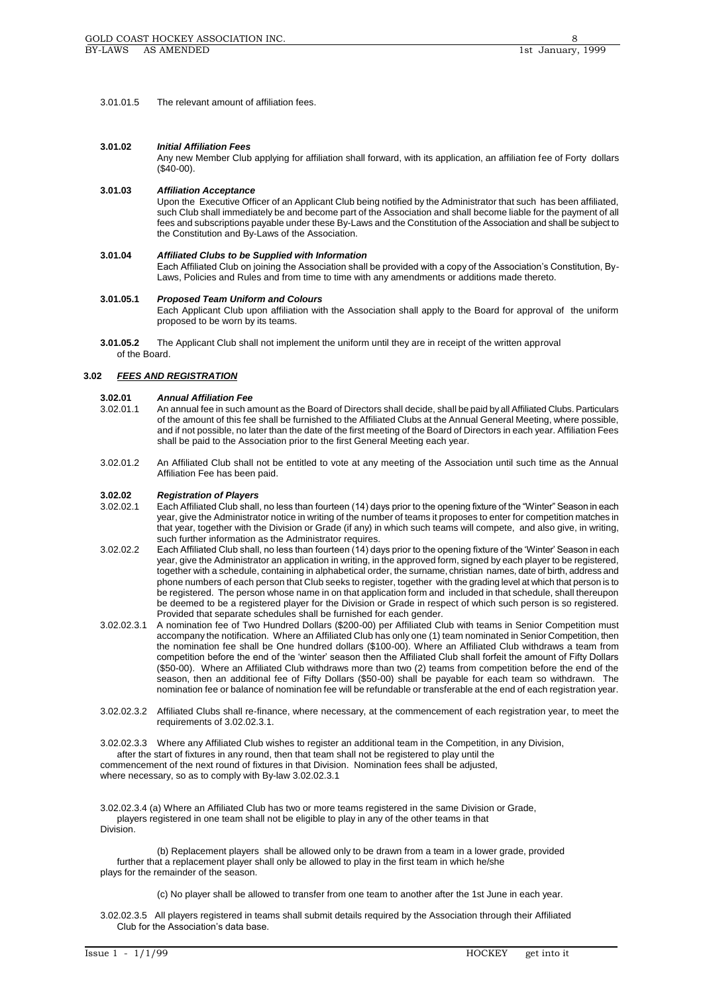3.01.01.5 The relevant amount of affiliation fees.

## **3.01.02** *Initial Affiliation Fees*

Any new Member Club applying for affiliation shall forward, with its application, an affiliation fee of Forty dollars (\$40-00).

# **3.01.03** *Affiliation Acceptance*

Upon the Executive Officer of an Applicant Club being notified by the Administrator that such has been affiliated, such Club shall immediately be and become part of the Association and shall become liable for the payment of all fees and subscriptions payable under these By-Laws and the Constitution of the Association and shall be subject to the Constitution and By-Laws of the Association.

## **3.01.04** *Affiliated Clubs to be Supplied with Information*

Each Affiliated Club on joining the Association shall be provided with a copy of the Association's Constitution, By-Laws, Policies and Rules and from time to time with any amendments or additions made thereto.

#### **3.01.05.1** *Proposed Team Uniform and Colours*

Each Applicant Club upon affiliation with the Association shall apply to the Board for approval of the uniform proposed to be worn by its teams.

**3.01.05.2** The Applicant Club shall not implement the uniform until they are in receipt of the written approval of the Board.

# **3.02** *FEES AND REGISTRATION*

# **3.02.01** *Annual Affiliation Fee*

- 3.02.01.1 An annual fee in such amount as the Board of Directors shall decide, shall be paid by all Affiliated Clubs. Particulars of the amount of this fee shall be furnished to the Affiliated Clubs at the Annual General Meeting, where possible, and if not possible, no later than the date of the first meeting of the Board of Directors in each year. Affiliation Fees shall be paid to the Association prior to the first General Meeting each year.
- 3.02.01.2 An Affiliated Club shall not be entitled to vote at any meeting of the Association until such time as the Annual Affiliation Fee has been paid.

## **3.02.02** *Registration of Players*

- 3.02.02.1 Each Affiliated Club shall, no less than fourteen (14) days prior to the opening fixture of the "Winter" Season in each year, give the Administrator notice in writing of the number of teams it proposes to enter for competition matches in that year, together with the Division or Grade (if any) in which such teams will compete, and also give, in writing, such further information as the Administrator requires.
- 3.02.02.2 Each Affiliated Club shall, no less than fourteen (14) days prior to the opening fixture of the 'Winter' Season in each year, give the Administrator an application in writing, in the approved form, signed by each player to be registered, together with a schedule, containing in alphabetical order, the surname, christian names, date of birth, address and phone numbers of each person that Club seeks to register, together with the grading level at which that person is to be registered. The person whose name in on that application form and included in that schedule, shall thereupon be deemed to be a registered player for the Division or Grade in respect of which such person is so registered. Provided that separate schedules shall be furnished for each gender.
- 3.02.02.3.1 A nomination fee of Two Hundred Dollars (\$200-00) per Affiliated Club with teams in Senior Competition must accompany the notification. Where an Affiliated Club has only one (1) team nominated in Senior Competition, then the nomination fee shall be One hundred dollars (\$100-00). Where an Affiliated Club withdraws a team from competition before the end of the 'winter' season then the Affiliated Club shall forfeit the amount of Fifty Dollars (\$50-00). Where an Affiliated Club withdraws more than two (2) teams from competition before the end of the season, then an additional fee of Fifty Dollars (\$50-00) shall be payable for each team so withdrawn. The nomination fee or balance of nomination fee will be refundable or transferable at the end of each registration year.
- 3.02.02.3.2 Affiliated Clubs shall re-finance, where necessary, at the commencement of each registration year, to meet the requirements of 3.02.02.3.1.

3.02.02.3.3 Where any Affiliated Club wishes to register an additional team in the Competition, in any Division, after the start of fixtures in any round, then that team shall not be registered to play until the commencement of the next round of fixtures in that Division. Nomination fees shall be adjusted, where necessary, so as to comply with By-law 3.02.02.3.1

3.02.02.3.4 (a) Where an Affiliated Club has two or more teams registered in the same Division or Grade, players registered in one team shall not be eligible to play in any of the other teams in that Division.

(b) Replacement players shall be allowed only to be drawn from a team in a lower grade, provided further that a replacement player shall only be allowed to play in the first team in which he/she plays for the remainder of the season.

(c) No player shall be allowed to transfer from one team to another after the 1st June in each year.

3.02.02.3.5 All players registered in teams shall submit details required by the Association through their Affiliated Club for the Association's data base.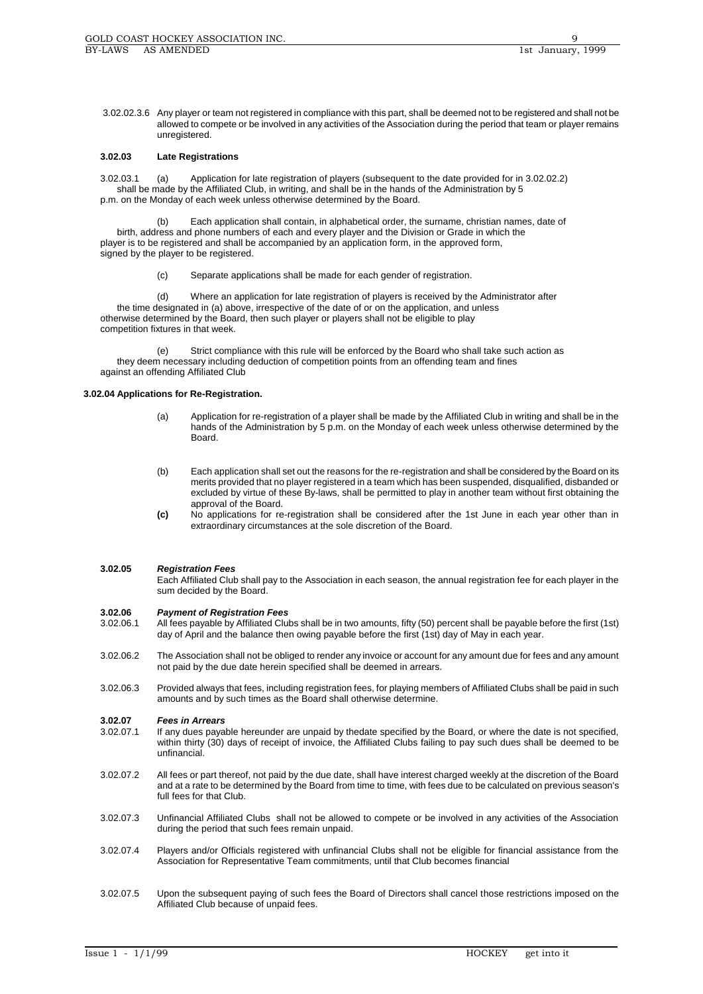3.02.02.3.6 Any player or team not registered in compliance with this part, shall be deemed not to be registered and shall not be allowed to compete or be involved in any activities of the Association during the period that team or player remains unregistered.

# **3.02.03 Late Registrations**

3.02.03.1 (a) Application for late registration of players (subsequent to the date provided for in 3.02.02.2) shall be made by the Affiliated Club, in writing, and shall be in the hands of the Administration by 5 p.m. on the Monday of each week unless otherwise determined by the Board.

(b) Each application shall contain, in alphabetical order, the surname, christian names, date of birth, address and phone numbers of each and every player and the Division or Grade in which the player is to be registered and shall be accompanied by an application form, in the approved form, signed by the player to be registered.

(c) Separate applications shall be made for each gender of registration.

(d) Where an application for late registration of players is received by the Administrator after the time designated in (a) above, irrespective of the date of or on the application, and unless otherwise determined by the Board, then such player or players shall not be eligible to play competition fixtures in that week.

(e) Strict compliance with this rule will be enforced by the Board who shall take such action as they deem necessary including deduction of competition points from an offending team and fines against an offending Affiliated Club

# **3.02.04 Applications for Re-Registration.**

- (a) Application for re-registration of a player shall be made by the Affiliated Club in writing and shall be in the hands of the Administration by 5 p.m. on the Monday of each week unless otherwise determined by the Board.
- (b) Each application shall set out the reasons for the re-registration and shall be considered by the Board on its merits provided that no player registered in a team which has been suspended, disqualified, disbanded or excluded by virtue of these By-laws, shall be permitted to play in another team without first obtaining the approval of the Board.
- **(c)** No applications for re-registration shall be considered after the 1st June in each year other than in extraordinary circumstances at the sole discretion of the Board.

## **3.02.05** *Registration Fees*

Each Affiliated Club shall pay to the Association in each season, the annual registration fee for each player in the sum decided by the Board.

## **3.02.06** *Payment of Registration Fees*

- 3.02.06.1 All fees payable by Affiliated Clubs shall be in two amounts, fifty (50) percent shall be payable before the first (1st) day of April and the balance then owing payable before the first (1st) day of May in each year.
- 3.02.06.2 The Association shall not be obliged to render any invoice or account for any amount due for fees and any amount not paid by the due date herein specified shall be deemed in arrears.
- 3.02.06.3 Provided always that fees, including registration fees, for playing members of Affiliated Clubs shall be paid in such amounts and by such times as the Board shall otherwise determine.

# **3.02.07** *Fees in Arrears*

- If any dues payable hereunder are unpaid by thedate specified by the Board, or where the date is not specified, within thirty (30) days of receipt of invoice, the Affiliated Clubs failing to pay such dues shall be deemed to be unfinancial.
- 3.02.07.2 All fees or part thereof, not paid by the due date, shall have interest charged weekly at the discretion of the Board and at a rate to be determined by the Board from time to time, with fees due to be calculated on previous season's full fees for that Club.
- 3.02.07.3 Unfinancial Affiliated Clubs shall not be allowed to compete or be involved in any activities of the Association during the period that such fees remain unpaid.
- 3.02.07.4 Players and/or Officials registered with unfinancial Clubs shall not be eligible for financial assistance from the Association for Representative Team commitments, until that Club becomes financial
- 3.02.07.5 Upon the subsequent paying of such fees the Board of Directors shall cancel those restrictions imposed on the Affiliated Club because of unpaid fees.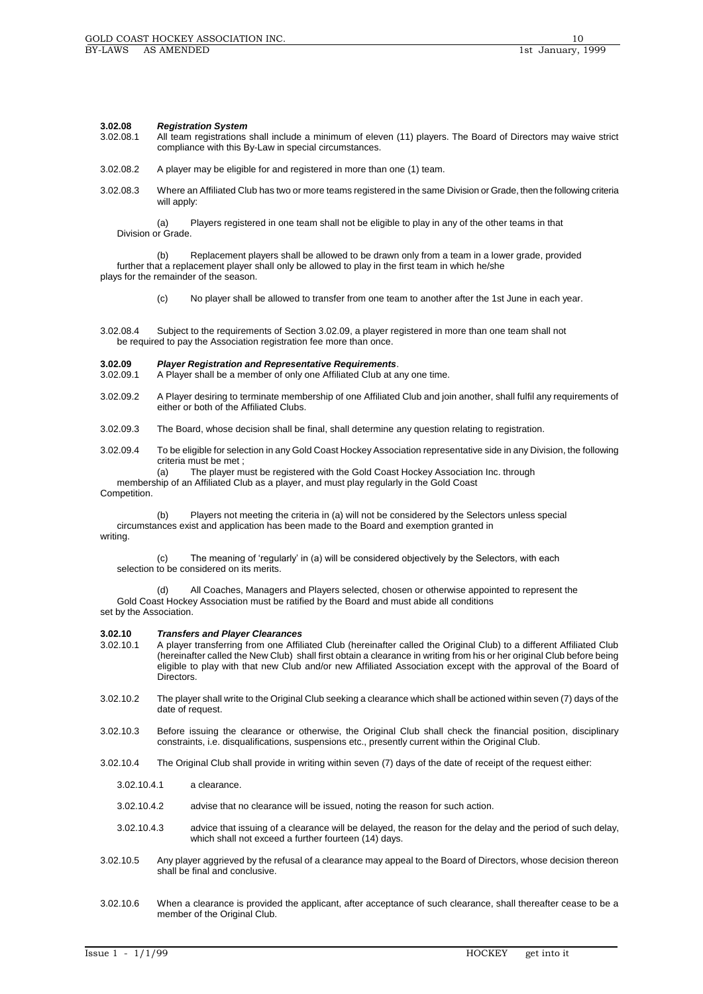# **3.02.08** *Registration System*

- All team registrations shall include a minimum of eleven (11) players. The Board of Directors may waive strict compliance with this By-Law in special circumstances.
- 3.02.08.2 A player may be eligible for and registered in more than one (1) team.
- 3.02.08.3 Where an Affiliated Club has two or more teams registered in the same Division or Grade, then the following criteria will apply:

(a) Players registered in one team shall not be eligible to play in any of the other teams in that Division or Grade.

(b) Replacement players shall be allowed to be drawn only from a team in a lower grade, provided further that a replacement player shall only be allowed to play in the first team in which he/she plays for the remainder of the season.

(c) No player shall be allowed to transfer from one team to another after the 1st June in each year.

3.02.08.4 Subject to the requirements of Section 3.02.09, a player registered in more than one team shall not be required to pay the Association registration fee more than once.

# **3.02.09** *Player Registration and Representative Requirements*.

A Player shall be a member of only one Affiliated Club at any one time.

- 3.02.09.2 A Player desiring to terminate membership of one Affiliated Club and join another, shall fulfil any requirements of either or both of the Affiliated Clubs.
- 3.02.09.3 The Board, whose decision shall be final, shall determine any question relating to registration.
- 3.02.09.4 To be eligible for selection in any Gold Coast Hockey Association representative side in any Division, the following criteria must be met ;

(a) The player must be registered with the Gold Coast Hockey Association Inc. through

membership of an Affiliated Club as a player, and must play regularly in the Gold Coast

Competition.

(b) Players not meeting the criteria in (a) will not be considered by the Selectors unless special circumstances exist and application has been made to the Board and exemption granted in writing.

(c) The meaning of 'regularly' in (a) will be considered objectively by the Selectors, with each selection to be considered on its merits.

(d) All Coaches, Managers and Players selected, chosen or otherwise appointed to represent the Gold Coast Hockey Association must be ratified by the Board and must abide all conditions set by the Association.

#### **3.02.10** *Transfers and Player Clearances*

- 3.02.10.1 A player transferring from one Affiliated Club (hereinafter called the Original Club) to a different Affiliated Club (hereinafter called the New Club) shall first obtain a clearance in writing from his or her original Club before being eligible to play with that new Club and/or new Affiliated Association except with the approval of the Board of Directors.
- 3.02.10.2 The player shall write to the Original Club seeking a clearance which shall be actioned within seven (7) days of the date of request.
- 3.02.10.3 Before issuing the clearance or otherwise, the Original Club shall check the financial position, disciplinary constraints, i.e. disqualifications, suspensions etc., presently current within the Original Club.
- 3.02.10.4 The Original Club shall provide in writing within seven (7) days of the date of receipt of the request either:
	- 3.02.10.4.1 a clearance.
	- 3.02.10.4.2 advise that no clearance will be issued, noting the reason for such action.
	- 3.02.10.4.3 advice that issuing of a clearance will be delayed, the reason for the delay and the period of such delay, which shall not exceed a further fourteen (14) days.
- 3.02.10.5 Any player aggrieved by the refusal of a clearance may appeal to the Board of Directors, whose decision thereon shall be final and conclusive.
- 3.02.10.6 When a clearance is provided the applicant, after acceptance of such clearance, shall thereafter cease to be a member of the Original Club.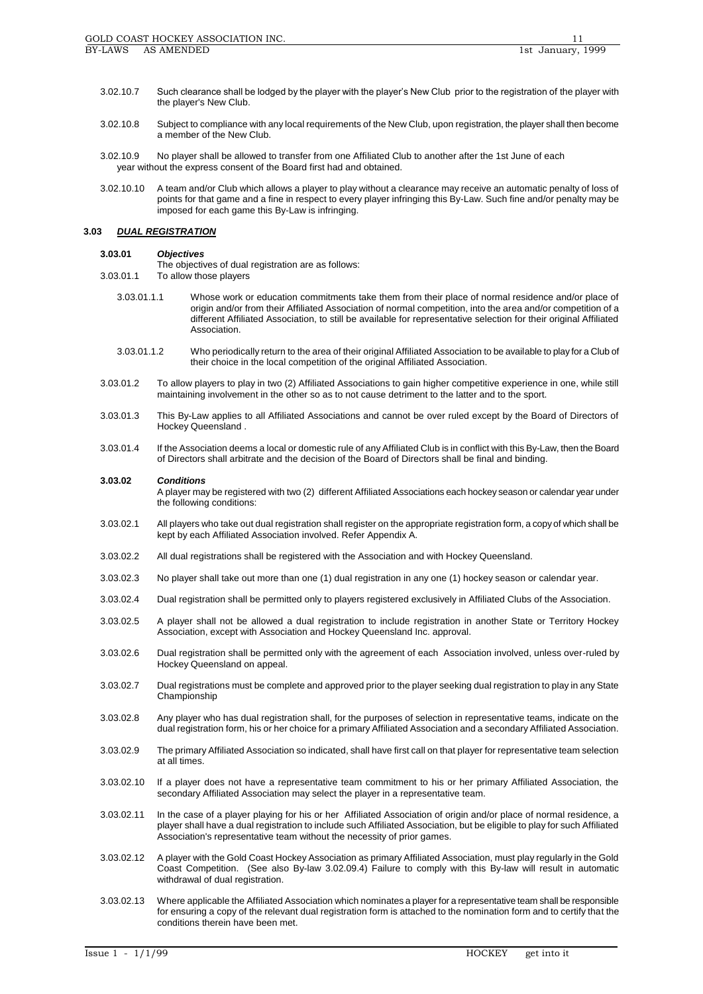- 3.02.10.7 Such clearance shall be lodged by the player with the player's New Club prior to the registration of the player with the player's New Club.
- 3.02.10.8 Subject to compliance with any local requirements of the New Club, upon registration, the player shall then become a member of the New Club.
- 3.02.10.9 No player shall be allowed to transfer from one Affiliated Club to another after the 1st June of each year without the express consent of the Board first had and obtained.
- 3.02.10.10 A team and/or Club which allows a player to play without a clearance may receive an automatic penalty of loss of points for that game and a fine in respect to every player infringing this By-Law. Such fine and/or penalty may be imposed for each game this By-Law is infringing.

# **3.03** *DUAL REGISTRATION*

## **3.03.01** *Objectives*

The objectives of dual registration are as follows:

- 3.03.01.1 To allow those players
	- 3.03.01.1.1 Whose work or education commitments take them from their place of normal residence and/or place of origin and/or from their Affiliated Association of normal competition, into the area and/or competition of a different Affiliated Association, to still be available for representative selection for their original Affiliated Association.
	- 3.03.01.1.2 Who periodically return to the area of their original Affiliated Association to be available to play for a Club of their choice in the local competition of the original Affiliated Association.
- 3.03.01.2 To allow players to play in two (2) Affiliated Associations to gain higher competitive experience in one, while still maintaining involvement in the other so as to not cause detriment to the latter and to the sport.
- 3.03.01.3 This By-Law applies to all Affiliated Associations and cannot be over ruled except by the Board of Directors of Hockey Queensland .
- 3.03.01.4 If the Association deems a local or domestic rule of any Affiliated Club is in conflict with this By-Law, then the Board of Directors shall arbitrate and the decision of the Board of Directors shall be final and binding.

## **3.03.02** *Conditions*

A player may be registered with two (2) different Affiliated Associations each hockey season or calendar year under the following conditions:

- 3.03.02.1 All players who take out dual registration shall register on the appropriate registration form, a copy of which shall be kept by each Affiliated Association involved. Refer Appendix A.
- 3.03.02.2 All dual registrations shall be registered with the Association and with Hockey Queensland.
- 3.03.02.3 No player shall take out more than one (1) dual registration in any one (1) hockey season or calendar year.
- 3.03.02.4 Dual registration shall be permitted only to players registered exclusively in Affiliated Clubs of the Association.
- 3.03.02.5 A player shall not be allowed a dual registration to include registration in another State or Territory Hockey Association, except with Association and Hockey Queensland Inc. approval.
- 3.03.02.6 Dual registration shall be permitted only with the agreement of each Association involved, unless over-ruled by Hockey Queensland on appeal.
- 3.03.02.7 Dual registrations must be complete and approved prior to the player seeking dual registration to play in any State Championship
- 3.03.02.8 Any player who has dual registration shall, for the purposes of selection in representative teams, indicate on the dual registration form, his or her choice for a primary Affiliated Association and a secondary Affiliated Association.
- 3.03.02.9 The primary Affiliated Association so indicated, shall have first call on that player for representative team selection at all times.
- 3.03.02.10 If a player does not have a representative team commitment to his or her primary Affiliated Association, the secondary Affiliated Association may select the player in a representative team.
- 3.03.02.11 In the case of a player playing for his or her Affiliated Association of origin and/or place of normal residence, a player shall have a dual registration to include such Affiliated Association, but be eligible to play for such Affiliated Association's representative team without the necessity of prior games.
- 3.03.02.12 A player with the Gold Coast Hockey Association as primary Affiliated Association, must play regularly in the Gold Coast Competition. (See also By-law 3.02.09.4) Failure to comply with this By-law will result in automatic withdrawal of dual registration.
- 3.03.02.13 Where applicable the Affiliated Association which nominates a player for a representative team shall be responsible for ensuring a copy of the relevant dual registration form is attached to the nomination form and to certify that the conditions therein have been met.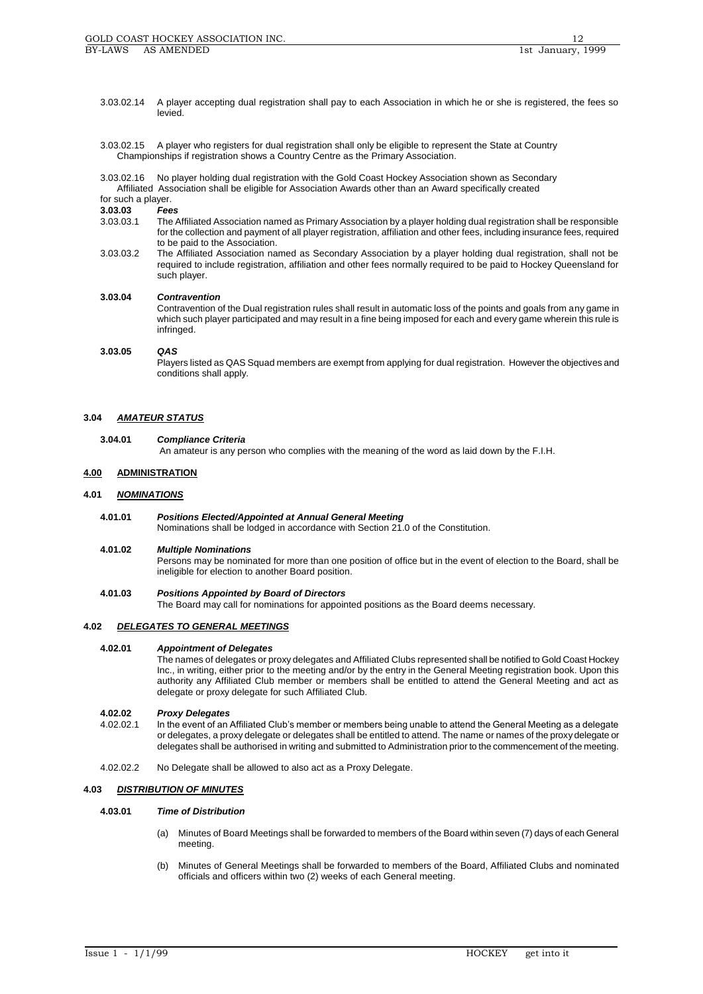- 3.03.02.14 A player accepting dual registration shall pay to each Association in which he or she is registered, the fees so levied.
- 3.03.02.15 A player who registers for dual registration shall only be eligible to represent the State at Country Championships if registration shows a Country Centre as the Primary Association.

3.03.02.16 No player holding dual registration with the Gold Coast Hockey Association shown as Secondary Affiliated Association shall be eligible for Association Awards other than an Award specifically created

for such a player.

**3.03.03** *Fees*

- 3.03.03.1 The Affiliated Association named as Primary Association by a player holding dual registration shall be responsible for the collection and payment of all player registration, affiliation and other fees, including insurance fees, required to be paid to the Association.
- 3.03.03.2 The Affiliated Association named as Secondary Association by a player holding dual registration, shall not be required to include registration, affiliation and other fees normally required to be paid to Hockey Queensland for such player.

# **3.03.04** *Contravention*

Contravention of the Dual registration rules shall result in automatic loss of the points and goals from any game in which such player participated and may result in a fine being imposed for each and every game wherein this rule is infringed.

## **3.03.05** *QAS*

Players listed as QAS Squad members are exempt from applying for dual registration. However the objectives and conditions shall apply.

# **3.04** *AMATEUR STATUS*

#### **3.04.01** *Compliance Criteria*

An amateur is any person who complies with the meaning of the word as laid down by the F.I.H.

# **4.00 ADMINISTRATION**

## **4.01** *NOMINATIONS*

**4.01.01** *Positions Elected/Appointed at Annual General Meeting*

Nominations shall be lodged in accordance with Section 21.0 of the Constitution.

## **4.01.02** *Multiple Nominations*

Persons may be nominated for more than one position of office but in the event of election to the Board, shall be ineligible for election to another Board position.

## **4.01.03** *Positions Appointed by Board of Directors*

The Board may call for nominations for appointed positions as the Board deems necessary.

## **4.02** *DELEGATES TO GENERAL MEETINGS*

## **4.02.01** *Appointment of Delegates*

The names of delegates or proxy delegates and Affiliated Clubs represented shall be notified to Gold Coast Hockey Inc., in writing, either prior to the meeting and/or by the entry in the General Meeting registration book. Upon this authority any Affiliated Club member or members shall be entitled to attend the General Meeting and act as delegate or proxy delegate for such Affiliated Club.

# **4.02.02** *Proxy Delegates*

- 4.02.02.1 In the event of an Affiliated Club's member or members being unable to attend the General Meeting as a delegate or delegates, a proxy delegate or delegates shall be entitled to attend. The name or names of the proxy delegate or delegates shall be authorised in writing and submitted to Administration prior to the commencement of the meeting.
- 4.02.02.2 No Delegate shall be allowed to also act as a Proxy Delegate.

## **4.03** *DISTRIBUTION OF MINUTES*

# **4.03.01** *Time of Distribution*

- (a) Minutes of Board Meetings shall be forwarded to members of the Board within seven (7) days of each General meeting.
- (b) Minutes of General Meetings shall be forwarded to members of the Board, Affiliated Clubs and nominated officials and officers within two (2) weeks of each General meeting.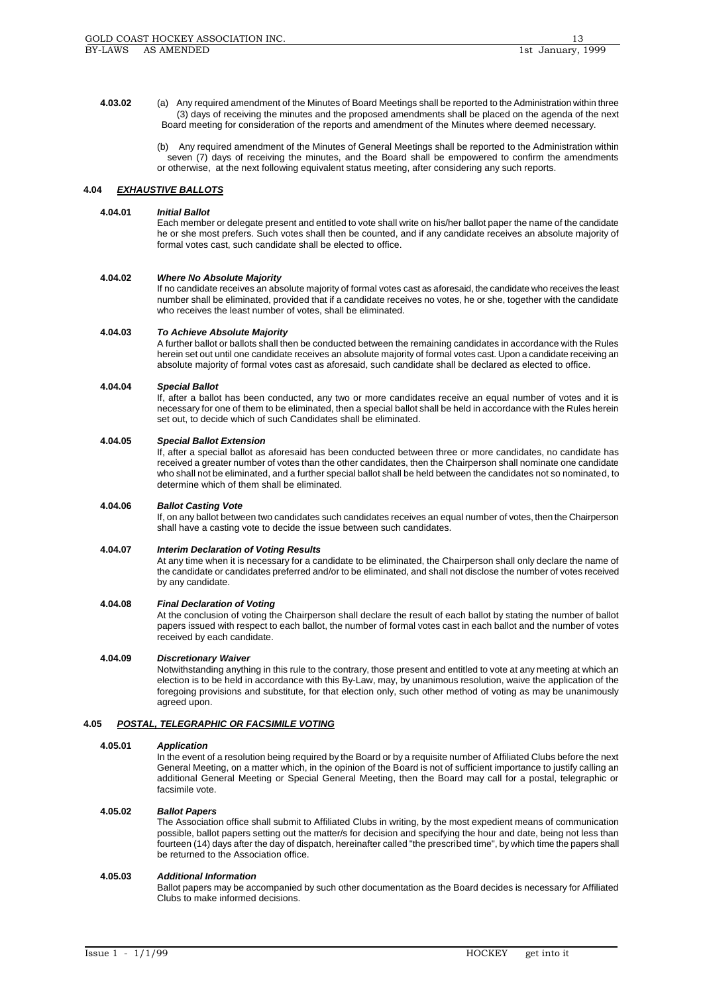**4.03.02** (a) Any required amendment of the Minutes of Board Meetings shall be reported to the Administration within three (3) days of receiving the minutes and the proposed amendments shall be placed on the agenda of the next Board meeting for consideration of the reports and amendment of the Minutes where deemed necessary.

> (b) Any required amendment of the Minutes of General Meetings shall be reported to the Administration within seven (7) days of receiving the minutes, and the Board shall be empowered to confirm the amendments or otherwise, at the next following equivalent status meeting, after considering any such reports.

# **4.04** *EXHAUSTIVE BALLOTS*

# **4.04.01** *Initial Ballot*

Each member or delegate present and entitled to vote shall write on his/her ballot paper the name of the candidate he or she most prefers. Such votes shall then be counted, and if any candidate receives an absolute majority of formal votes cast, such candidate shall be elected to office.

## **4.04.02** *Where No Absolute Majority*

If no candidate receives an absolute majority of formal votes cast as aforesaid, the candidate who receives the least number shall be eliminated, provided that if a candidate receives no votes, he or she, together with the candidate who receives the least number of votes, shall be eliminated.

## **4.04.03** *To Achieve Absolute Majority*

A further ballot or ballots shall then be conducted between the remaining candidates in accordance with the Rules herein set out until one candidate receives an absolute majority of formal votes cast. Upon a candidate receiving an absolute majority of formal votes cast as aforesaid, such candidate shall be declared as elected to office.

## **4.04.04** *Special Ballot*

If, after a ballot has been conducted, any two or more candidates receive an equal number of votes and it is necessary for one of them to be eliminated, then a special ballot shall be held in accordance with the Rules herein set out, to decide which of such Candidates shall be eliminated.

#### **4.04.05** *Special Ballot Extension*

If, after a special ballot as aforesaid has been conducted between three or more candidates, no candidate has received a greater number of votes than the other candidates, then the Chairperson shall nominate one candidate who shall not be eliminated, and a further special ballot shall be held between the candidates not so nominated, to determine which of them shall be eliminated.

## **4.04.06** *Ballot Casting Vote*

If, on any ballot between two candidates such candidates receives an equal number of votes, then the Chairperson shall have a casting vote to decide the issue between such candidates.

## **4.04.07** *Interim Declaration of Voting Results*

At any time when it is necessary for a candidate to be eliminated, the Chairperson shall only declare the name of the candidate or candidates preferred and/or to be eliminated, and shall not disclose the number of votes received by any candidate.

# **4.04.08** *Final Declaration of Voting*

At the conclusion of voting the Chairperson shall declare the result of each ballot by stating the number of ballot papers issued with respect to each ballot, the number of formal votes cast in each ballot and the number of votes received by each candidate.

## **4.04.09** *Discretionary Waiver*

Notwithstanding anything in this rule to the contrary, those present and entitled to vote at any meeting at which an election is to be held in accordance with this By-Law, may, by unanimous resolution, waive the application of the foregoing provisions and substitute, for that election only, such other method of voting as may be unanimously agreed upon.

# **4.05** *POSTAL, TELEGRAPHIC OR FACSIMILE VOTING*

#### **4.05.01** *Application*

In the event of a resolution being required by the Board or by a requisite number of Affiliated Clubs before the next General Meeting, on a matter which, in the opinion of the Board is not of sufficient importance to justify calling an additional General Meeting or Special General Meeting, then the Board may call for a postal, telegraphic or facsimile vote.

## **4.05.02** *Ballot Papers*

The Association office shall submit to Affiliated Clubs in writing, by the most expedient means of communication possible, ballot papers setting out the matter/s for decision and specifying the hour and date, being not less than fourteen (14) days after the day of dispatch, hereinafter called "the prescribed time", by which time the papers shall be returned to the Association office.

#### **4.05.03** *Additional Information*

Ballot papers may be accompanied by such other documentation as the Board decides is necessary for Affiliated Clubs to make informed decisions.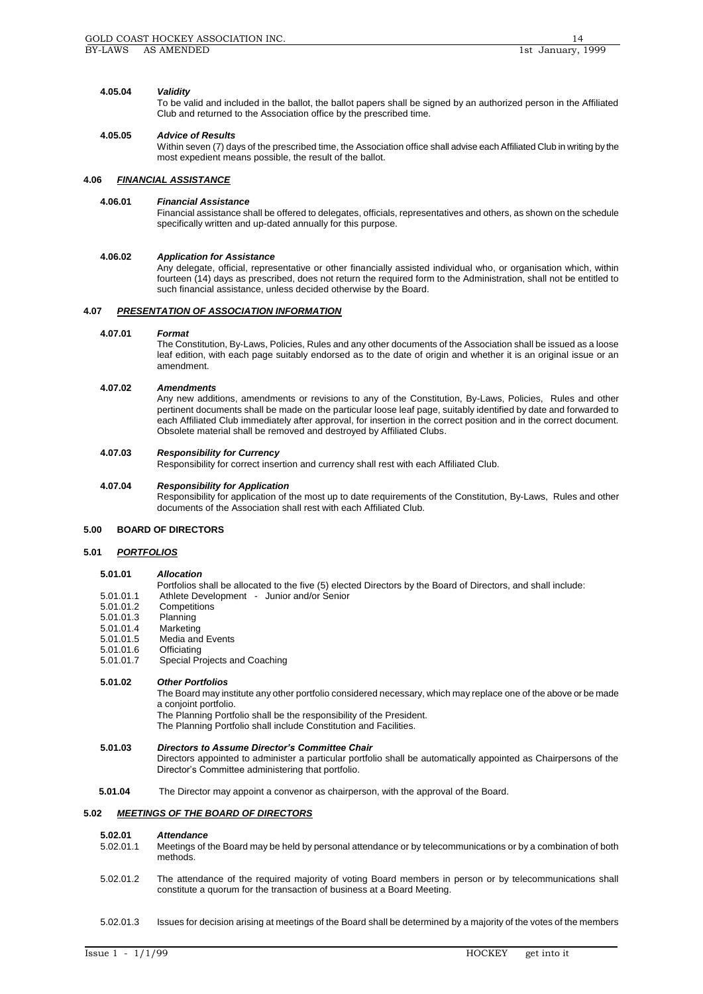# **4.05.04** *Validity*

To be valid and included in the ballot, the ballot papers shall be signed by an authorized person in the Affiliated Club and returned to the Association office by the prescribed time.

# **4.05.05** *Advice of Results*

Within seven (7) days of the prescribed time, the Association office shall advise each Affiliated Club in writing by the most expedient means possible, the result of the ballot.

# **4.06** *FINANCIAL ASSISTANCE*

# **4.06.01** *Financial Assistance*

Financial assistance shall be offered to delegates, officials, representatives and others, as shown on the schedule specifically written and up-dated annually for this purpose.

# **4.06.02** *Application for Assistance*

Any delegate, official, representative or other financially assisted individual who, or organisation which, within fourteen (14) days as prescribed, does not return the required form to the Administration, shall not be entitled to such financial assistance, unless decided otherwise by the Board.

# **4.07** *PRESENTATION OF ASSOCIATION INFORMATION*

# **4.07.01** *Format*

The Constitution, By-Laws, Policies, Rules and any other documents of the Association shall be issued as a loose leaf edition, with each page suitably endorsed as to the date of origin and whether it is an original issue or an amendment.

# **4.07.02** *Amendments*

Any new additions, amendments or revisions to any of the Constitution, By-Laws, Policies, Rules and other pertinent documents shall be made on the particular loose leaf page, suitably identified by date and forwarded to each Affiliated Club immediately after approval, for insertion in the correct position and in the correct document. Obsolete material shall be removed and destroyed by Affiliated Clubs.

# **4.07.03** *Responsibility for Currency*

Responsibility for correct insertion and currency shall rest with each Affiliated Club.

# **4.07.04** *Responsibility for Application*

Responsibility for application of the most up to date requirements of the Constitution, By-Laws, Rules and other documents of the Association shall rest with each Affiliated Club.

# **5.00 BOARD OF DIRECTORS**

# **5.01** *PORTFOLIOS*

# **5.01.01** *Allocation*

Portfolios shall be allocated to the five (5) elected Directors by the Board of Directors, and shall include: 5.01.01.1 Athlete Development - Junior and/or Senior

- Competitions<br>Planning
- $5.01.01.3$
- 5.01.01.4 Marketing
- Media and Events
- 5.01.01.6 Officiating<br>5.01.01.7 Special Pr
- Special Projects and Coaching

# **5.01.02** *Other Portfolios*

The Board may institute any other portfolio considered necessary, which may replace one of the above or be made a conjoint portfolio.

The Planning Portfolio shall be the responsibility of the President.

The Planning Portfolio shall include Constitution and Facilities.

# **5.01.03** *Directors to Assume Director's Committee Chair*

Directors appointed to administer a particular portfolio shall be automatically appointed as Chairpersons of the Director's Committee administering that portfolio.

**5.01.04** The Director may appoint a convenor as chairperson, with the approval of the Board.

# **5.02** *MEETINGS OF THE BOARD OF DIRECTORS*

# **5.02.01** *Attendance*

- 5.02.01.1 Meetings of the Board may be held by personal attendance or by telecommunications or by a combination of both methods.
- 5.02.01.2 The attendance of the required majority of voting Board members in person or by telecommunications shall constitute a quorum for the transaction of business at a Board Meeting.
- 5.02.01.3 Issues for decision arising at meetings of the Board shall be determined by a majority of the votes of the members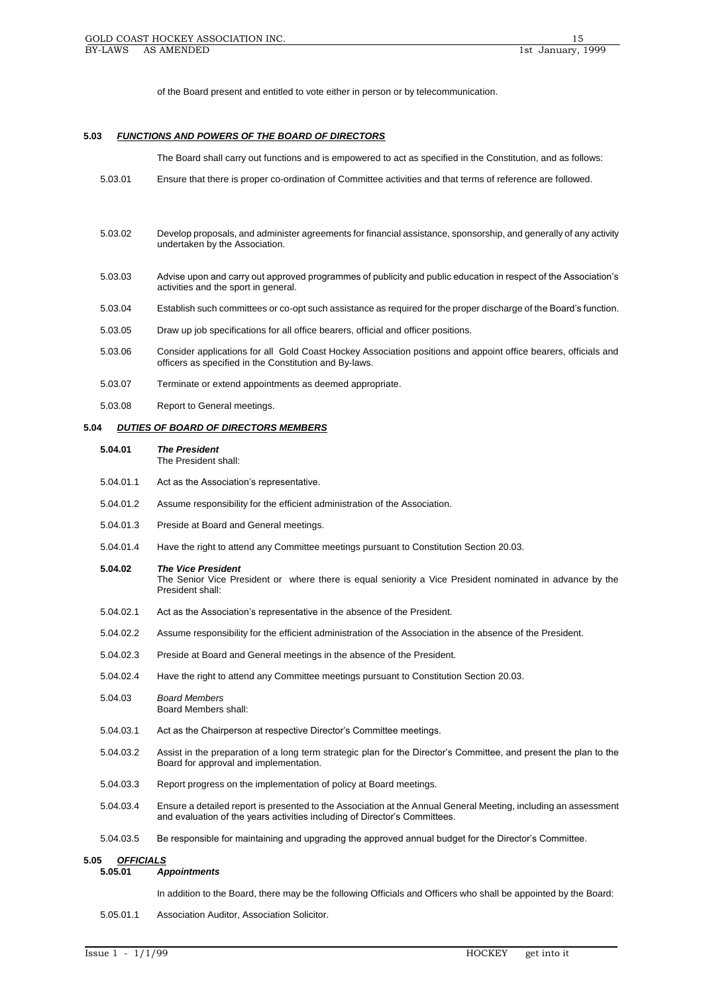of the Board present and entitled to vote either in person or by telecommunication.

### **5.03** *FUNCTIONS AND POWERS OF THE BOARD OF DIRECTORS*

The Board shall carry out functions and is empowered to act as specified in the Constitution, and as follows:

- 5.03.01 Ensure that there is proper co-ordination of Committee activities and that terms of reference are followed.
- 5.03.02 Develop proposals, and administer agreements for financial assistance, sponsorship, and generally of any activity undertaken by the Association.
- 5.03.03 Advise upon and carry out approved programmes of publicity and public education in respect of the Association's activities and the sport in general.
- 5.03.04 Establish such committees or co-opt such assistance as required for the proper discharge of the Board's function.
- 5.03.05 Draw up job specifications for all office bearers, official and officer positions.
- 5.03.06 Consider applications for all Gold Coast Hockey Association positions and appoint office bearers, officials and officers as specified in the Constitution and By-laws.
- 5.03.07 Terminate or extend appointments as deemed appropriate.
- 5.03.08 Report to General meetings.

#### **5.04** *DUTIES OF BOARD OF DIRECTORS MEMBERS*

**5.04.01** *The President*

The President shall:

- 5.04.01.1 Act as the Association's representative.
- 5.04.01.2 Assume responsibility for the efficient administration of the Association.
- 5.04.01.3 Preside at Board and General meetings.
- 5.04.01.4 Have the right to attend any Committee meetings pursuant to Constitution Section 20.03.
- **5.04.02** *The Vice President*
	- The Senior Vice President or where there is equal seniority a Vice President nominated in advance by the President shall:
- 5.04.02.1 Act as the Association's representative in the absence of the President.
- 5.04.02.2 Assume responsibility for the efficient administration of the Association in the absence of the President.
- 5.04.02.3 Preside at Board and General meetings in the absence of the President.
- 5.04.02.4 Have the right to attend any Committee meetings pursuant to Constitution Section 20.03.
- 5.04.03 *Board Members* Board Members shall:
- 5.04.03.1 Act as the Chairperson at respective Director's Committee meetings.
- 5.04.03.2 Assist in the preparation of a long term strategic plan for the Director's Committee, and present the plan to the Board for approval and implementation.
- 5.04.03.3 Report progress on the implementation of policy at Board meetings.
- 5.04.03.4 Ensure a detailed report is presented to the Association at the Annual General Meeting, including an assessment and evaluation of the years activities including of Director's Committees.
- 5.04.03.5 Be responsible for maintaining and upgrading the approved annual budget for the Director's Committee.

# **5.05** *OFFICIALS*

#### **5.05.01** *Appointments*

In addition to the Board, there may be the following Officials and Officers who shall be appointed by the Board:

5.05.01.1 Association Auditor, Association Solicitor.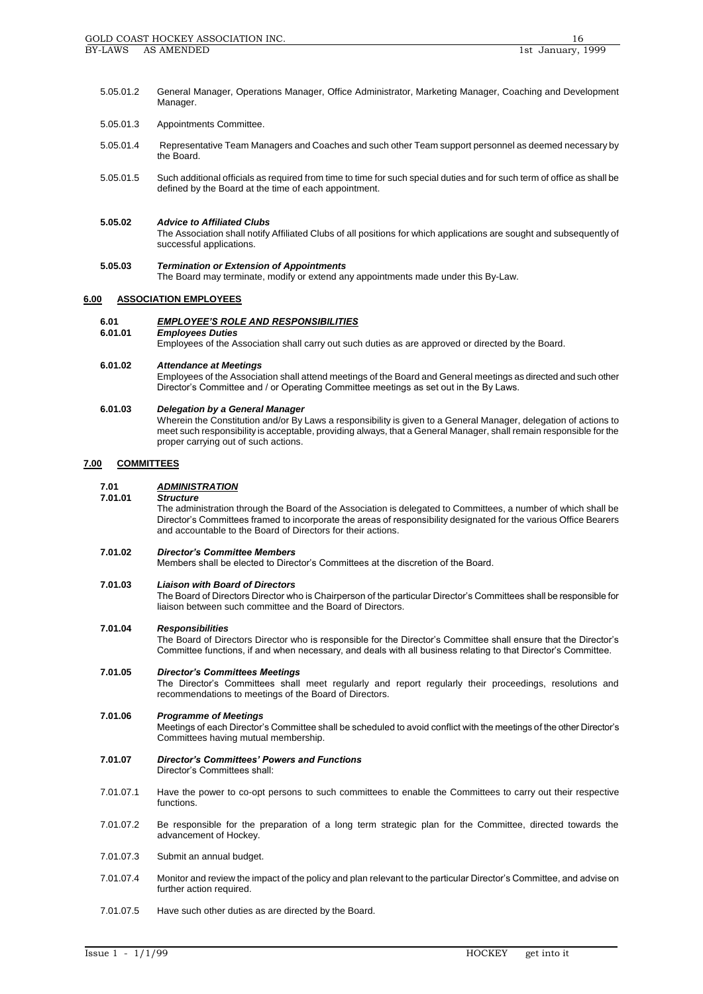- 5.05.01.2 General Manager, Operations Manager, Office Administrator, Marketing Manager, Coaching and Development Manager.
- 5.05.01.3 Appointments Committee.
- 5.05.01.4 Representative Team Managers and Coaches and such other Team support personnel as deemed necessary by the Board.
- 5.05.01.5 Such additional officials as required from time to time for such special duties and for such term of office as shall be defined by the Board at the time of each appointment.

# **5.05.02** *Advice to Affiliated Clubs*

The Association shall notify Affiliated Clubs of all positions for which applications are sought and subsequently of successful applications.

# **5.05.03** *Termination or Extension of Appointments*

The Board may terminate, modify or extend any appointments made under this By-Law.

# **6.00 ASSOCIATION EMPLOYEES**

# **6.01** *EMPLOYEE'S ROLE AND RESPONSIBILITIES*

**6.01.01** *Employees Duties*

Employees of the Association shall carry out such duties as are approved or directed by the Board.

## **6.01.02** *Attendance at Meetings*

Employees of the Association shall attend meetings of the Board and General meetings as directed and such other Director's Committee and / or Operating Committee meetings as set out in the By Laws.

## **6.01.03** *Delegation by a General Manager*

Wherein the Constitution and/or By Laws a responsibility is given to a General Manager, delegation of actions to meet such responsibility is acceptable, providing always, that a General Manager, shall remain responsible for the proper carrying out of such actions.

# **7.00 COMMITTEES**

# **7.01** *ADMINISTRATION*

## **7.01.01** *Structure*

The administration through the Board of the Association is delegated to Committees, a number of which shall be Director's Committees framed to incorporate the areas of responsibility designated for the various Office Bearers and accountable to the Board of Directors for their actions.

## **7.01.02** *Director's Committee Members*

Members shall be elected to Director's Committees at the discretion of the Board.

## **7.01.03** *Liaison with Board of Directors*

The Board of Directors Director who is Chairperson of the particular Director's Committees shall be responsible for liaison between such committee and the Board of Directors.

# **7.01.04** *Responsibilities*

The Board of Directors Director who is responsible for the Director's Committee shall ensure that the Director's Committee functions, if and when necessary, and deals with all business relating to that Director's Committee.

# **7.01.05** *Director's Committees Meetings*

The Director's Committees shall meet regularly and report regularly their proceedings, resolutions and recommendations to meetings of the Board of Directors.

# **7.01.06** *Programme of Meetings*

Meetings of each Director's Committee shall be scheduled to avoid conflict with the meetings of the other Director's Committees having mutual membership.

#### **7.01.07** *Director's Committees' Powers and Functions* Director's Committees shall:

- 7.01.07.1 Have the power to co-opt persons to such committees to enable the Committees to carry out their respective functions.
- 7.01.07.2 Be responsible for the preparation of a long term strategic plan for the Committee, directed towards the advancement of Hockey.
- 7.01.07.3 Submit an annual budget.
- 7.01.07.4 Monitor and review the impact of the policy and plan relevant to the particular Director's Committee, and advise on further action required.
- 7.01.07.5 Have such other duties as are directed by the Board.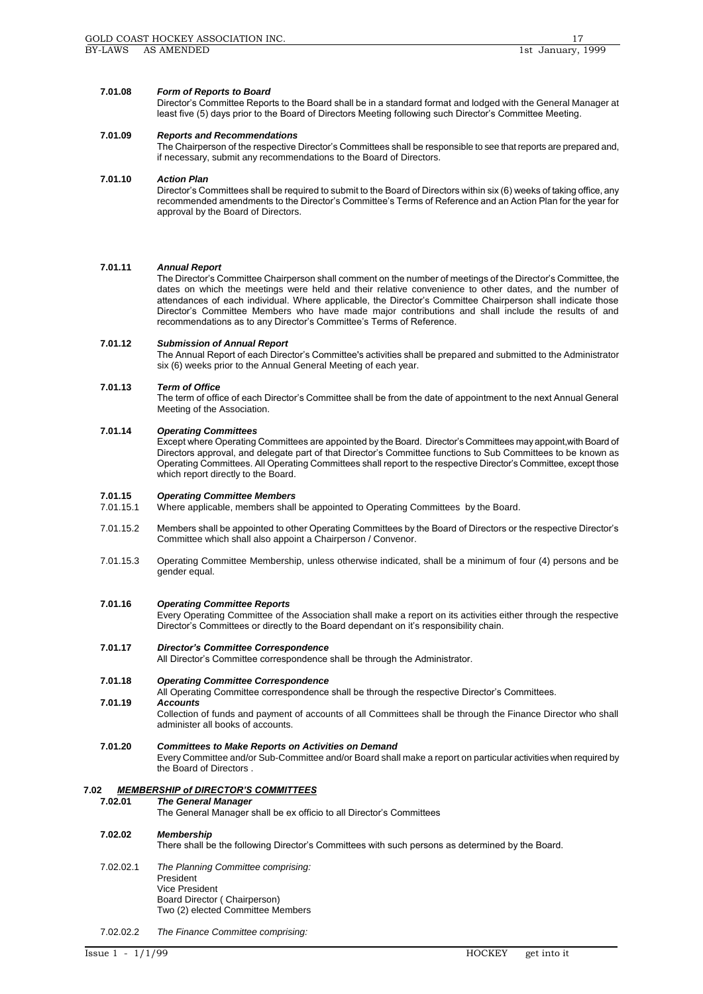# **7.01.08** *Form of Reports to Board*

Director's Committee Reports to the Board shall be in a standard format and lodged with the General Manager at least five (5) days prior to the Board of Directors Meeting following such Director's Committee Meeting.

# **7.01.09** *Reports and Recommendations*

The Chairperson of the respective Director's Committees shall be responsible to see that reports are prepared and, if necessary, submit any recommendations to the Board of Directors.

# **7.01.10** *Action Plan*

Director's Committees shall be required to submit to the Board of Directors within six (6) weeks of taking office, any recommended amendments to the Director's Committee's Terms of Reference and an Action Plan for the year for approval by the Board of Directors.

# **7.01.11** *Annual Report*

The Director's Committee Chairperson shall comment on the number of meetings of the Director's Committee, the dates on which the meetings were held and their relative convenience to other dates, and the number of attendances of each individual. Where applicable, the Director's Committee Chairperson shall indicate those Director's Committee Members who have made major contributions and shall include the results of and recommendations as to any Director's Committee's Terms of Reference.

# **7.01.12** *Submission of Annual Report*

The Annual Report of each Director's Committee's activities shall be prepared and submitted to the Administrator six (6) weeks prior to the Annual General Meeting of each year.

# **7.01.13** *Term of Office*

The term of office of each Director's Committee shall be from the date of appointment to the next Annual General Meeting of the Association.

# **7.01.14** *Operating Committees*

Except where Operating Committees are appointed by the Board. Director's Committees may appoint, with Board of Directors approval, and delegate part of that Director's Committee functions to Sub Committees to be known as Operating Committees. All Operating Committees shall report to the respective Director's Committee, except those which report directly to the Board.

# **7.01.15** *Operating Committee Members*

- 7.01.15.1 Where applicable, members shall be appointed to Operating Committees by the Board.
- 7.01.15.2 Members shall be appointed to other Operating Committees by the Board of Directors or the respective Director's Committee which shall also appoint a Chairperson / Convenor.
- 7.01.15.3 Operating Committee Membership, unless otherwise indicated, shall be a minimum of four (4) persons and be gender equal.

# **7.01.16** *Operating Committee Reports*

Every Operating Committee of the Association shall make a report on its activities either through the respective Director's Committees or directly to the Board dependant on it's responsibility chain.

# **7.01.17** *Director's Committee Correspondence*

All Director's Committee correspondence shall be through the Administrator.

# **7.01.18** *Operating Committee Correspondence*

All Operating Committee correspondence shall be through the respective Director's Committees.

**7.01.19** *Accounts*

# Collection of funds and payment of accounts of all Committees shall be through the Finance Director who shall administer all books of accounts.

**7.01.20** *Committees to Make Reports on Activities on Demand* Every Committee and/or Sub-Committee and/or Board shall make a report on particular activities when required by the Board of Directors .

# **7.02** *MEMBERSHIP of DIRECTOR'S COMMITTEES*

# **7.02.01** *The General Manager*

The General Manager shall be ex officio to all Director's Committees

# **7.02.02** *Membership*

There shall be the following Director's Committees with such persons as determined by the Board.

# 7.02.02.1 *The Planning Committee comprising:* President Vice President

Board Director ( Chairperson) Two (2) elected Committee Members

7.02.02.2 *The Finance Committee comprising:*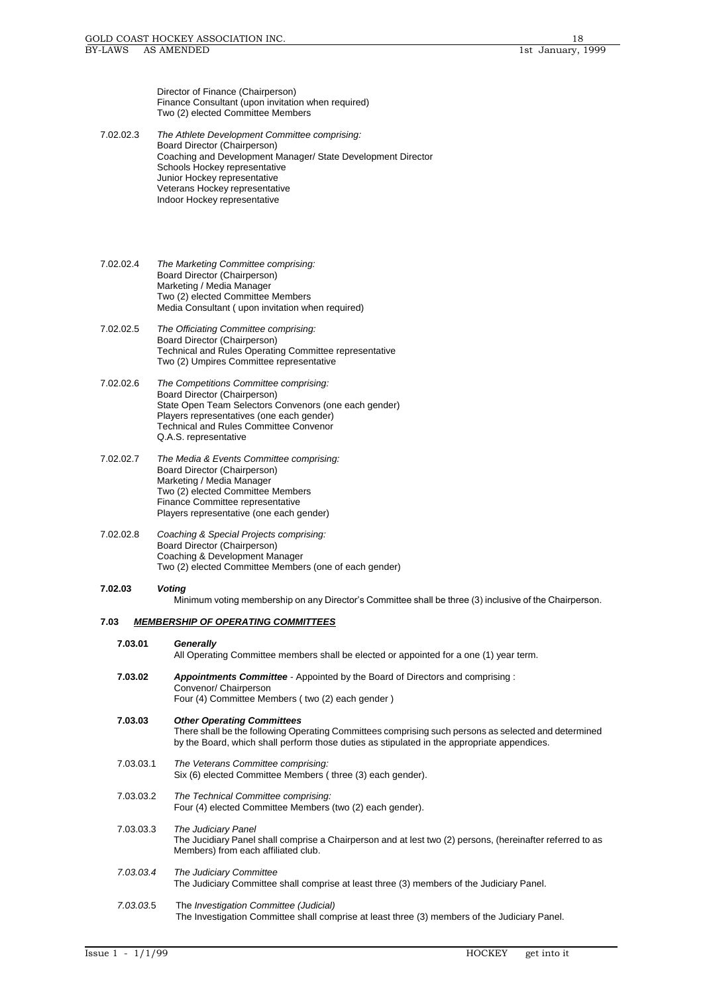Director of Finance (Chairperson) Finance Consultant (upon invitation when required) Two (2) elected Committee Members

7.02.02.3 *The Athlete Development Committee comprising:* Board Director (Chairperson) Coaching and Development Manager/ State Development Director Schools Hockey representative Junior Hockey representative Veterans Hockey representative Indoor Hockey representative

7.02.02.4 *The Marketing Committee comprising:* Board Director (Chairperson) Marketing / Media Manager Two (2) elected Committee Members Media Consultant ( upon invitation when required)

- 7.02.02.5 *The Officiating Committee comprising:* Board Director (Chairperson) Technical and Rules Operating Committee representative Two (2) Umpires Committee representative
- 7.02.02.6 *The Competitions Committee comprising:* Board Director (Chairperson) State Open Team Selectors Convenors (one each gender) Players representatives (one each gender) Technical and Rules Committee Convenor Q.A.S. representative
- 7.02.02.7 *The Media & Events Committee comprising:*  Board Director (Chairperson) Marketing / Media Manager Two (2) elected Committee Members Finance Committee representative Players representative (one each gender)
- 7.02.02.8 *Coaching & Special Projects comprising:* Board Director (Chairperson) Coaching & Development Manager Two (2) elected Committee Members (one of each gender)

# **7.02.03** *Voting*

Minimum voting membership on any Director's Committee shall be three (3) inclusive of the Chairperson.

# **7.03** *MEMBERSHIP OF OPERATING COMMITTEES*

All Operating Committee members shall be elected or appointed for a one (1) year term.

| 7.03.02 | <b>Appointments Committee</b> - Appointed by the Board of Directors and comprising : |
|---------|--------------------------------------------------------------------------------------|
|         | Convenor/ Chairperson                                                                |
|         | Four (4) Committee Members (two (2) each gender)                                     |

```
7.03.03 Other Operating Committees
```
There shall be the following Operating Committees comprising such persons as selected and determined by the Board, which shall perform those duties as stipulated in the appropriate appendices.

- 7.03.03.1 *The Veterans Committee comprising:* Six (6) elected Committee Members ( three (3) each gender).
- 7.03.03.2 *The Technical Committee comprising:* Four (4) elected Committee Members (two (2) each gender).
- 7.03.03.3 *The Judiciary Panel* The Jucidiary Panel shall comprise a Chairperson and at lest two (2) persons, (hereinafter referred to as Members) from each affiliated club. *7.03.03.4 The Judiciary Committee*
	- The Judiciary Committee shall comprise at least three (3) members of the Judiciary Panel*.*
- *7.03.03.*5 The *Investigation Committee (Judicial)*  The Investigation Committee shall comprise at least three (3) members of the Judiciary Panel.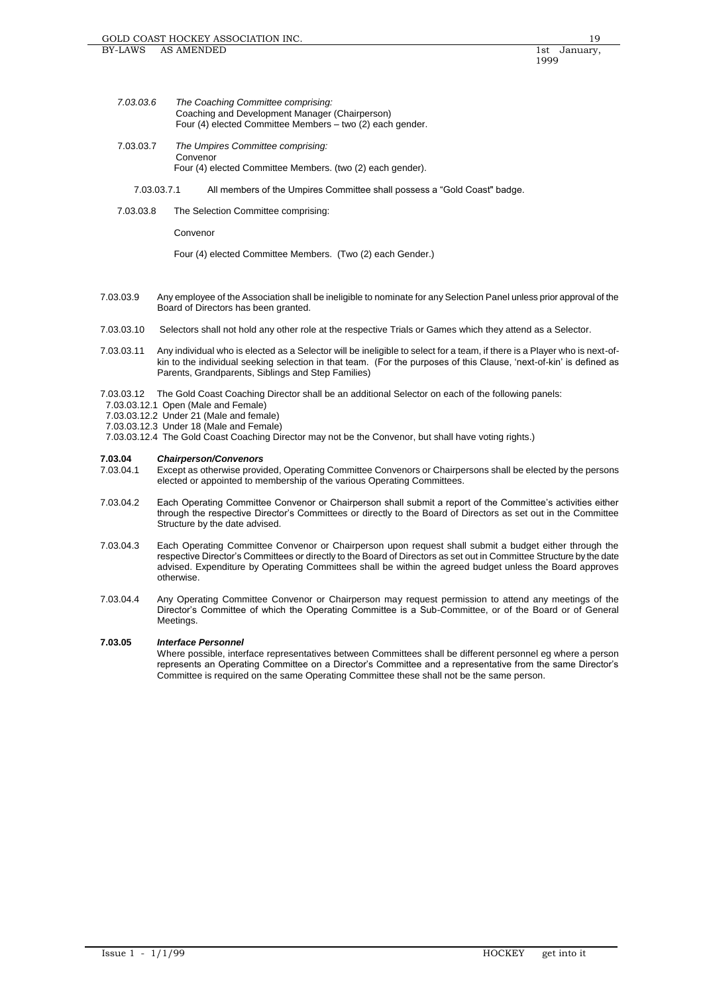- *7.03.03.6 The Coaching Committee comprising:* Coaching and Development Manager (Chairperson) Four (4) elected Committee Members – two (2) each gender.
- 7.03.03.7 *The Umpires Committee comprising:* Convenor Four (4) elected Committee Members. (two (2) each gender).
	- 7.03.03.7.1 All members of the Umpires Committee shall possess a "Gold Coast" badge.
- 7.03.03.8 The Selection Committee comprising:

Convenor

Four (4) elected Committee Members. (Two (2) each Gender.)

- 7.03.03.9 Any employee of the Association shall be ineligible to nominate for any Selection Panel unless prior approval of the Board of Directors has been granted.
- 7.03.03.10 Selectors shall not hold any other role at the respective Trials or Games which they attend as a Selector.
- 7.03.03.11 Any individual who is elected as a Selector will be ineligible to select for a team, if there is a Player who is next-ofkin to the individual seeking selection in that team. (For the purposes of this Clause, 'next-of-kin' is defined as Parents, Grandparents, Siblings and Step Families)

7.03.03.12 The Gold Coast Coaching Director shall be an additional Selector on each of the following panels:

- 7.03.03.12.1 Open (Male and Female)
- 7.03.03.12.2 Under 21 (Male and female)
- 7.03.03.12.3 Under 18 (Male and Female)
- 7.03.03.12.4 The Gold Coast Coaching Director may not be the Convenor, but shall have voting rights.)

# **7.03.04** *Chairperson/Convenors*

- Except as otherwise provided, Operating Committee Convenors or Chairpersons shall be elected by the persons elected or appointed to membership of the various Operating Committees.
- 7.03.04.2 Each Operating Committee Convenor or Chairperson shall submit a report of the Committee's activities either through the respective Director's Committees or directly to the Board of Directors as set out in the Committee Structure by the date advised.
- 7.03.04.3 Each Operating Committee Convenor or Chairperson upon request shall submit a budget either through the respective Director's Committees or directly to the Board of Directors as set out in Committee Structure by the date advised. Expenditure by Operating Committees shall be within the agreed budget unless the Board approves otherwise.
- 7.03.04.4 Any Operating Committee Convenor or Chairperson may request permission to attend any meetings of the Director's Committee of which the Operating Committee is a Sub-Committee, or of the Board or of General **Meetings**

# **7.03.05** *Interface Personnel*

Where possible, interface representatives between Committees shall be different personnel eg where a person represents an Operating Committee on a Director's Committee and a representative from the same Director's Committee is required on the same Operating Committee these shall not be the same person.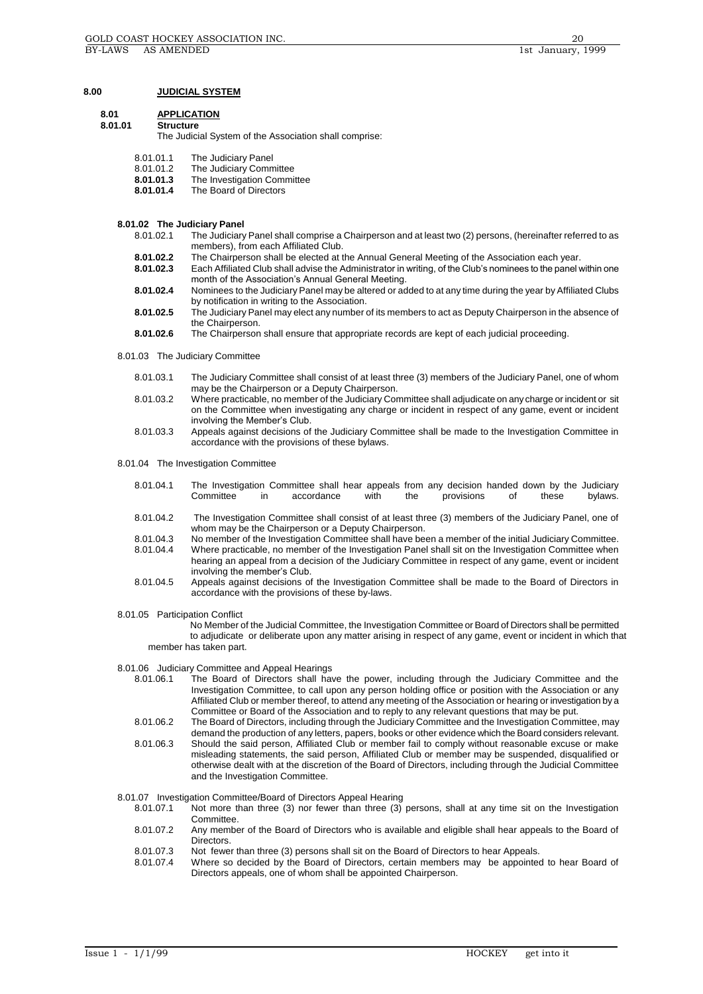### **8.00 JUDICIAL SYSTEM**

# **8.01 APPLICATION**

# **8.01.01 Structure**

The Judicial System of the Association shall comprise:

- 8.01.01.1 The Judiciary Panel<br>8.01.01.2 The Judiciary Comm
- 8.01.01.2 The Judiciary Committee<br>8.01.01.3 The Investigation Commi
- **8.01.01.3** The Investigation Committee
- **8.01.01.4** The Board of Directors

## **8.01.02 The Judiciary Panel**

- 8.01.02.1 The Judiciary Panel shall comprise a Chairperson and at least two (2) persons, (hereinafter referred to as members), from each Affiliated Club.
- **8.01.02.2** The Chairperson shall be elected at the Annual General Meeting of the Association each year.<br>**8.01.02.3** Each Affiliated Club shall advise the Administrator in writing, of the Club's nominees to the panel y
- **8.01.02.3** Each Affiliated Club shall advise the Administrator in writing, of the Club's nominees to the panel within one month of the Association's Annual General Meeting.
- **8.01.02.4** Nominees to the Judiciary Panel may be altered or added to at any time during the year by Affiliated Clubs by notification in writing to the Association.
- **8.01.02.5** The Judiciary Panel may elect any number of its members to act as Deputy Chairperson in the absence of the Chairperson.
- **8.01.02.6** The Chairperson shall ensure that appropriate records are kept of each judicial proceeding.
- 8.01.03 The Judiciary Committee
	- 8.01.03.1 The Judiciary Committee shall consist of at least three (3) members of the Judiciary Panel, one of whom may be the Chairperson or a Deputy Chairperson.
	- 8.01.03.2 Where practicable, no member of the Judiciary Committee shall adjudicate on any charge or incident or sit on the Committee when investigating any charge or incident in respect of any game, event or incident involving the Member's Club.
	- 8.01.03.3 Appeals against decisions of the Judiciary Committee shall be made to the Investigation Committee in accordance with the provisions of these bylaws.
- 8.01.04 The Investigation Committee
	- 8.01.04.1 The Investigation Committee shall hear appeals from any decision handed down by the Judiciary<br>Committee in accordance with the provisions of these bylaws. Committee in accordance with the provisions of these bylaws.
	- 8.01.04.2 The Investigation Committee shall consist of at least three (3) members of the Judiciary Panel, one of whom may be the Chairperson or a Deputy Chairperson.
	- 8.01.04.3 No member of the Investigation Committee shall have been a member of the initial Judiciary Committee.
	- Where practicable, no member of the Investigation Panel shall sit on the Investigation Committee when hearing an appeal from a decision of the Judiciary Committee in respect of any game, event or incident involving the member's Club.
	- 8.01.04.5 Appeals against decisions of the Investigation Committee shall be made to the Board of Directors in accordance with the provisions of these by-laws.

#### 8.01.05 Participation Conflict

 No Member of the Judicial Committee, the Investigation Committee or Board of Directors shall be permitted to adjudicate or deliberate upon any matter arising in respect of any game, event or incident in which that member has taken part.

# 8.01.06 Judiciary Committee and Appeal Hearings

- The Board of Directors shall have the power, including through the Judiciary Committee and the Investigation Committee, to call upon any person holding office or position with the Association or any Affiliated Club or member thereof, to attend any meeting of the Association or hearing or investigation by a Committee or Board of the Association and to reply to any relevant questions that may be put.
- 8.01.06.2 The Board of Directors, including through the Judiciary Committee and the Investigation Committee, may demand the production of any letters, papers, books or other evidence which the Board considers relevant. 8.01.06.3 Should the said person, Affiliated Club or member fail to comply without reasonable excuse or make misleading statements, the said person, Affiliated Club or member may be suspended, disqualified or otherwise dealt with at the discretion of the Board of Directors, including through the Judicial Committee and the Investigation Committee.

8.01.07 Investigation Committee/Board of Directors Appeal Hearing 8.01.07.1 Not more than three (3) nor fewer than three (3)

- Not more than three (3) nor fewer than three (3) persons, shall at any time sit on the Investigation Committee.
- 8.01.07.2 Any member of the Board of Directors who is available and eligible shall hear appeals to the Board of **Directors**
- 8.01.07.3 Not fewer than three (3) persons shall sit on the Board of Directors to hear Appeals.<br>8.01.07.4 Where so decided by the Board of Directors, certain members may be appointed
- Where so decided by the Board of Directors, certain members may be appointed to hear Board of Directors appeals, one of whom shall be appointed Chairperson.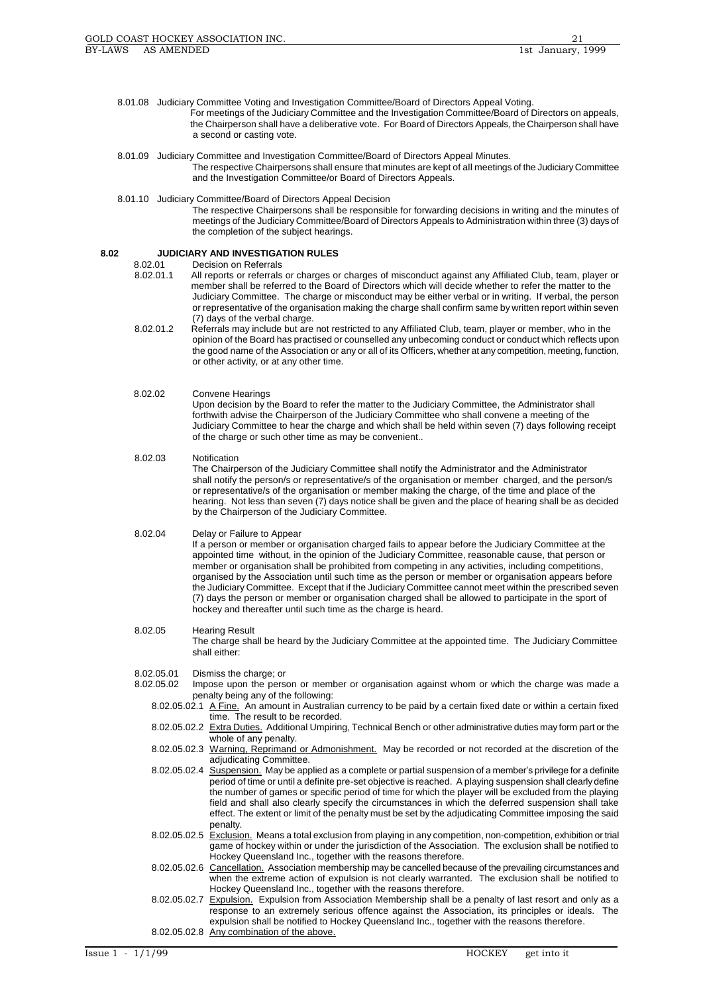- 8.01.08 Judiciary Committee Voting and Investigation Committee/Board of Directors Appeal Voting.
	- For meetings of the Judiciary Committee and the Investigation Committee/Board of Directors on appeals, the Chairperson shall have a deliberative vote. For Board of Directors Appeals, the Chairperson shall have a second or casting vote.
- 8.01.09 Judiciary Committee and Investigation Committee/Board of Directors Appeal Minutes.
	- The respective Chairpersons shall ensure that minutes are kept of all meetings of the Judiciary Committee and the Investigation Committee/or Board of Directors Appeals.
- 8.01.10 Judiciary Committee/Board of Directors Appeal Decision

The respective Chairpersons shall be responsible for forwarding decisions in writing and the minutes of meetings of the Judiciary Committee/Board of Directors Appeals to Administration within three (3) days of the completion of the subject hearings.

# **8.02 JUDICIARY AND INVESTIGATION RULES**

- **Decision on Referrals**
- 8.02.01.1 All reports or referrals or charges or charges of misconduct against any Affiliated Club, team, player or member shall be referred to the Board of Directors which will decide whether to refer the matter to the Judiciary Committee. The charge or misconduct may be either verbal or in writing. If verbal, the person or representative of the organisation making the charge shall confirm same by written report within seven (7) days of the verbal charge.
- 8.02.01.2 Referrals may include but are not restricted to any Affiliated Club, team, player or member, who in the opinion of the Board has practised or counselled any unbecoming conduct or conduct which reflects upon the good name of the Association or any or all of its Officers, whether at any competition, meeting, function, or other activity, or at any other time.
- 8.02.02 Convene Hearings Upon decision by the Board to refer the matter to the Judiciary Committee, the Administrator shall forthwith advise the Chairperson of the Judiciary Committee who shall convene a meeting of the Judiciary Committee to hear the charge and which shall be held within seven (7) days following receipt of the charge or such other time as may be convenient..
- 8.02.03 Notification The Chairperson of the Judiciary Committee shall notify the Administrator and the Administrator shall notify the person/s or representative/s of the organisation or member charged, and the person/s or representative/s of the organisation or member making the charge, of the time and place of the hearing. Not less than seven (7) days notice shall be given and the place of hearing shall be as decided by the Chairperson of the Judiciary Committee.
- 8.02.04 Delay or Failure to Appear If a person or member or organisation charged fails to appear before the Judiciary Committee at the appointed time without, in the opinion of the Judiciary Committee, reasonable cause, that person or member or organisation shall be prohibited from competing in any activities, including competitions, organised by the Association until such time as the person or member or organisation appears before the Judiciary Committee. Except that if the Judiciary Committee cannot meet within the prescribed seven (7) days the person or member or organisation charged shall be allowed to participate in the sport of hockey and thereafter until such time as the charge is heard.
- 8.02.05 Hearing Result

The charge shall be heard by the Judiciary Committee at the appointed time. The Judiciary Committee shall either:

- 8.02.05.01 Dismiss the charge; or
- 8.02.05.02 Impose upon the person or member or organisation against whom or which the charge was made a penalty being any of the following:
	- 8.02.05.02.1 A Fine. An amount in Australian currency to be paid by a certain fixed date or within a certain fixed time. The result to be recorded.
	- 8.02.05.02.2 Extra Duties. Additional Umpiring, Technical Bench or other administrative duties may form part or the whole of any penalty.
	- 8.02.05.02.3 Warning, Reprimand or Admonishment. May be recorded or not recorded at the discretion of the adjudicating Committee.
	- 8.02.05.02.4 Suspension. May be applied as a complete or partial suspension of a member's privilege for a definite period of time or until a definite pre-set objective is reached. A playing suspension shall clearly define the number of games or specific period of time for which the player will be excluded from the playing field and shall also clearly specify the circumstances in which the deferred suspension shall take effect. The extent or limit of the penalty must be set by the adjudicating Committee imposing the said penalty.
	- 8.02.05.02.5 Exclusion. Means a total exclusion from playing in any competition, non-competition, exhibition or trial game of hockey within or under the jurisdiction of the Association. The exclusion shall be notified to Hockey Queensland Inc., together with the reasons therefore.
	- 8.02.05.02.6 Cancellation. Association membership may be cancelled because of the prevailing circumstances and when the extreme action of expulsion is not clearly warranted. The exclusion shall be notified to Hockey Queensland Inc., together with the reasons therefore.
	- 8.02.05.02.7 Expulsion. Expulsion from Association Membership shall be a penalty of last resort and only as a response to an extremely serious offence against the Association, its principles or ideals. The expulsion shall be notified to Hockey Queensland Inc., together with the reasons therefore. 8.02.05.02.8 Any combination of the above.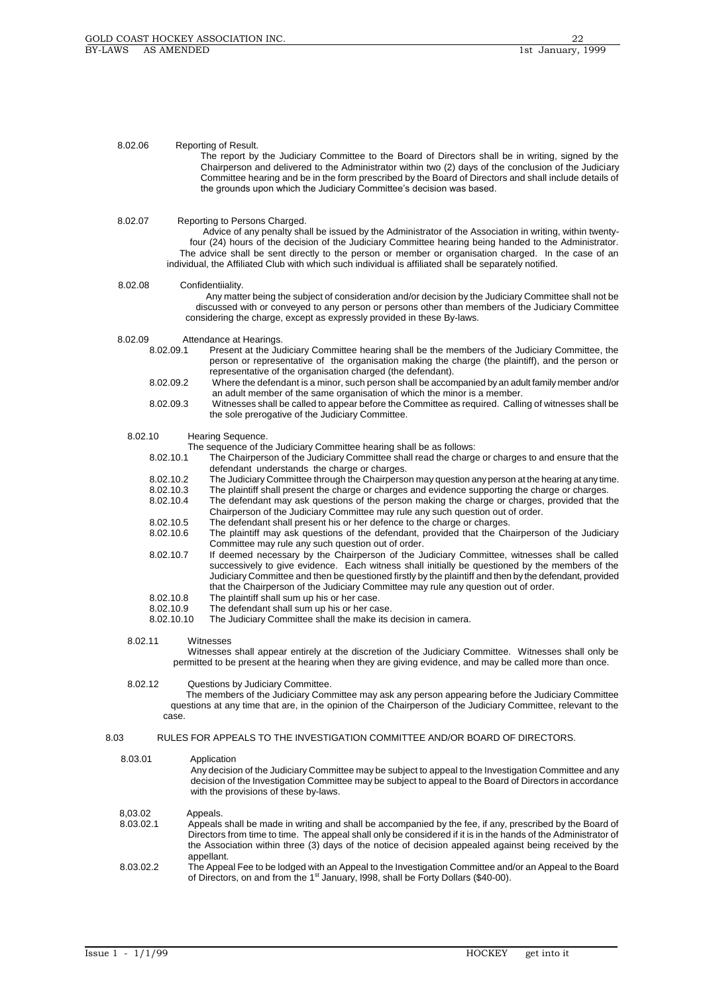## 8.02.06 Reporting of Result.

The report by the Judiciary Committee to the Board of Directors shall be in writing, signed by the Chairperson and delivered to the Administrator within two (2) days of the conclusion of the Judiciary Committee hearing and be in the form prescribed by the Board of Directors and shall include details of the grounds upon which the Judiciary Committee's decision was based.

#### 8.02.07 Reporting to Persons Charged.

 Advice of any penalty shall be issued by the Administrator of the Association in writing, within twenty four (24) hours of the decision of the Judiciary Committee hearing being handed to the Administrator. The advice shall be sent directly to the person or member or organisation charged. In the case of an individual, the Affiliated Club with which such individual is affiliated shall be separately notified.

#### 8.02.08 Confidentiiality.

 Any matter being the subject of consideration and/or decision by the Judiciary Committee shall not be discussed with or conveyed to any person or persons other than members of the Judiciary Committee considering the charge, except as expressly provided in these By-laws.

- 8.02.09 Attendance at Hearings.<br>8.02.09.1 Present at the Ju
	- **Present at the Judiciary Committee hearing shall be the members of the Judiciary Committee, the** person or representative of the organisation making the charge (the plaintiff), and the person or representative of the organisation charged (the defendant).
	- 8.02.09.2 Where the defendant is a minor, such person shall be accompanied by an adult family member and/or an adult member of the same organisation of which the minor is a member.
	- 8.02.09.3 Witnesses shall be called to appear before the Committee as required. Calling of witnesses shall be the sole prerogative of the Judiciary Committee.

#### 8.02.10 Hearing Sequence.

The sequence of the Judiciary Committee hearing shall be as follows:<br>8.02.10.1 The Chairperson of the Judiciary Committee shall read the charge

- The Chairperson of the Judiciary Committee shall read the charge or charges to and ensure that the defendant understands the charge or charges.
- 8.02.10.2 The Judiciary Committee through the Chairperson may question any person at the hearing at any time.<br>8.02.10.3 The plaintiff shall present the charge or charges and evidence supporting the charge or charges
- 8.02.10.3 The plaintiff shall present the charge or charges and evidence supporting the charge or charges.<br>8.02.10.4 The defendant may ask questions of the person making the charge or charges, provided that t
	- The defendant may ask questions of the person making the charge or charges, provided that the Chairperson of the Judiciary Committee may rule any such question out of order.
- 8.02.10.5 The defendant shall present his or her defence to the charge or charges.
- 8.02.10.6 The plaintiff may ask questions of the defendant, provided that the Chairperson of the Judiciary Committee may rule any such question out of order.
- 8.02.10.7 If deemed necessary by the Chairperson of the Judiciary Committee, witnesses shall be called successively to give evidence. Each witness shall initially be questioned by the members of the Judiciary Committee and then be questioned firstly by the plaintiff and then by the defendant, provided that the Chairperson of the Judiciary Committee may rule any question out of order.
- 8.02.10.8 The plaintiff shall sum up his or her case.<br>8.02.10.9 The defendant shall sum up his or her ca
- 8.02.10.9 The defendant shall sum up his or her case.<br>8.02.10.10 The Judiciary Committee shall the make its
- The Judiciary Committee shall the make its decision in camera.

# 8.02.11 Witnesses

 Witnesses shall appear entirely at the discretion of the Judiciary Committee. Witnesses shall only be permitted to be present at the hearing when they are giving evidence, and may be called more than once.

# 8.02.12 Questions by Judiciary Committee.

 The members of the Judiciary Committee may ask any person appearing before the Judiciary Committee questions at any time that are, in the opinion of the Chairperson of the Judiciary Committee, relevant to the case.

## 8.03 RULES FOR APPEALS TO THE INVESTIGATION COMMITTEE AND/OR BOARD OF DIRECTORS.

## 8.03.01 Application Any decision of the Judiciary Committee may be subject to appeal to the Investigation Committee and any decision of the Investigation Committee may be subject to appeal to the Board of Directors in accordance with the provisions of these by-laws. 8,03.02 Appeals. 8.03.02.1 Appeals shall be made in writing and shall be accompanied by the fee, if any, prescribed by the Board of Directors from time to time. The appeal shall only be considered if it is in the hands of the Administrator of the Association within three (3) days of the notice of decision appealed against being received by the appellant.

8.03.02.2 The Appeal Fee to be lodged with an Appeal to the Investigation Committee and/or an Appeal to the Board of Directors, on and from the 1<sup>st</sup> January, 1998, shall be Forty Dollars (\$40-00).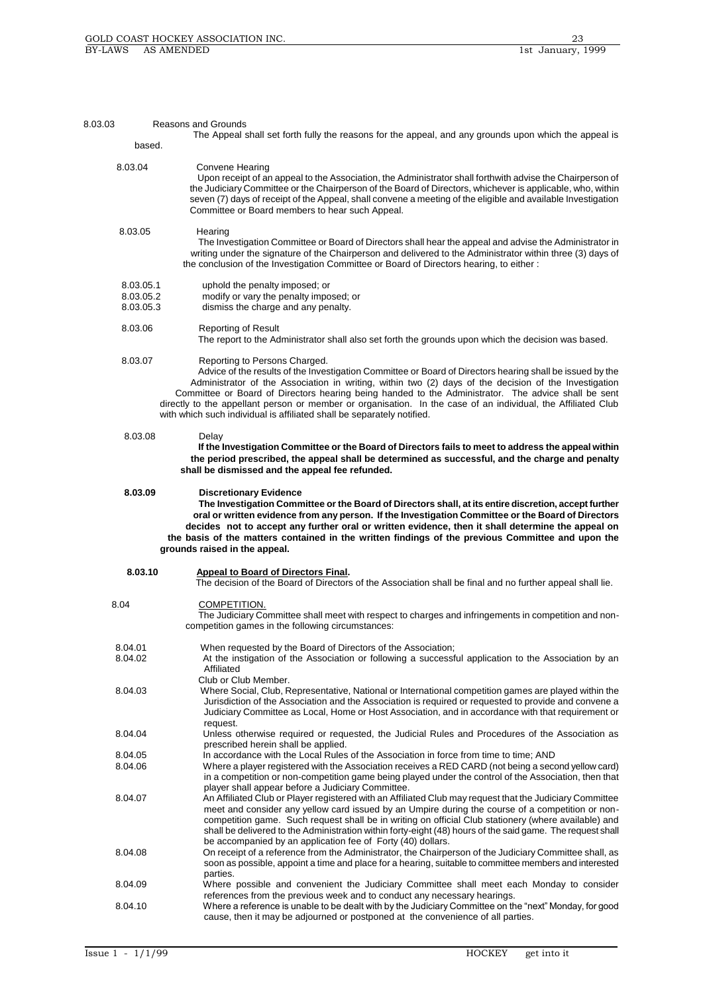| 8.03.03                             | <b>Reasons and Grounds</b>                                                                                                                                                                                                                                                                                                                                                                                                                                                                                                                            |
|-------------------------------------|-------------------------------------------------------------------------------------------------------------------------------------------------------------------------------------------------------------------------------------------------------------------------------------------------------------------------------------------------------------------------------------------------------------------------------------------------------------------------------------------------------------------------------------------------------|
| based.                              | The Appeal shall set forth fully the reasons for the appeal, and any grounds upon which the appeal is                                                                                                                                                                                                                                                                                                                                                                                                                                                 |
|                                     |                                                                                                                                                                                                                                                                                                                                                                                                                                                                                                                                                       |
| 8.03.04                             | Convene Hearing<br>Upon receipt of an appeal to the Association, the Administrator shall forthwith advise the Chairperson of<br>the Judiciary Committee or the Chairperson of the Board of Directors, whichever is applicable, who, within<br>seven (7) days of receipt of the Appeal, shall convene a meeting of the eligible and available Investigation<br>Committee or Board members to hear such Appeal.                                                                                                                                         |
| 8.03.05                             | Hearing<br>The Investigation Committee or Board of Directors shall hear the appeal and advise the Administrator in<br>writing under the signature of the Chairperson and delivered to the Administrator within three (3) days of<br>the conclusion of the Investigation Committee or Board of Directors hearing, to either :                                                                                                                                                                                                                          |
| 8.03.05.1<br>8.03.05.2<br>8.03.05.3 | uphold the penalty imposed; or<br>modify or vary the penalty imposed; or<br>dismiss the charge and any penalty.                                                                                                                                                                                                                                                                                                                                                                                                                                       |
| 8.03.06                             | <b>Reporting of Result</b><br>The report to the Administrator shall also set forth the grounds upon which the decision was based.                                                                                                                                                                                                                                                                                                                                                                                                                     |
| 8.03.07                             | Reporting to Persons Charged.<br>Advice of the results of the Investigation Committee or Board of Directors hearing shall be issued by the<br>Administrator of the Association in writing, within two (2) days of the decision of the Investigation<br>Committee or Board of Directors hearing being handed to the Administrator. The advice shall be sent<br>directly to the appellant person or member or organisation. In the case of an individual, the Affiliated Club<br>with which such individual is affiliated shall be separately notified. |
| 8.03.08                             | Delay<br>If the Investigation Committee or the Board of Directors fails to meet to address the appeal within<br>the period prescribed, the appeal shall be determined as successful, and the charge and penalty<br>shall be dismissed and the appeal fee refunded.                                                                                                                                                                                                                                                                                    |
| 8.03.09                             | <b>Discretionary Evidence</b><br>The Investigation Committee or the Board of Directors shall, at its entire discretion, accept further<br>oral or written evidence from any person. If the Investigation Committee or the Board of Directors<br>decides not to accept any further oral or written evidence, then it shall determine the appeal on<br>the basis of the matters contained in the written findings of the previous Committee and upon the<br>grounds raised in the appeal.                                                               |
| 8.03.10                             | Appeal to Board of Directors Final.<br>The decision of the Board of Directors of the Association shall be final and no further appeal shall lie.                                                                                                                                                                                                                                                                                                                                                                                                      |
| 8.04                                | COMPETITION.<br>The Judiciary Committee shall meet with respect to charges and infringements in competition and non-<br>competition games in the following circumstances:                                                                                                                                                                                                                                                                                                                                                                             |
| 8.04.01<br>8.04.02                  | When requested by the Board of Directors of the Association;<br>At the instigation of the Association or following a successful application to the Association by an<br>Affiliated                                                                                                                                                                                                                                                                                                                                                                    |
| 8.04.03                             | Club or Club Member.<br>Where Social, Club, Representative, National or International competition games are played within the<br>Jurisdiction of the Association and the Association is required or requested to provide and convene a<br>Judiciary Committee as Local, Home or Host Association, and in accordance with that requirement or<br>request.                                                                                                                                                                                              |
| 8.04.04                             | Unless otherwise required or requested, the Judicial Rules and Procedures of the Association as<br>prescribed herein shall be applied.                                                                                                                                                                                                                                                                                                                                                                                                                |
| 8.04.05<br>8.04.06                  | In accordance with the Local Rules of the Association in force from time to time; AND<br>Where a player registered with the Association receives a RED CARD (not being a second yellow card)                                                                                                                                                                                                                                                                                                                                                          |
|                                     | in a competition or non-competition game being played under the control of the Association, then that<br>player shall appear before a Judiciary Committee.                                                                                                                                                                                                                                                                                                                                                                                            |
| 8.04.07                             | An Affiliated Club or Player registered with an Affiliated Club may request that the Judiciary Committee<br>meet and consider any yellow card issued by an Umpire during the course of a competition or non-<br>competition game. Such request shall be in writing on official Club stationery (where available) and<br>shall be delivered to the Administration within forty-eight (48) hours of the said game. The request shall<br>be accompanied by an application fee of Forty (40) dollars.                                                     |
| 8.04.08                             | On receipt of a reference from the Administrator, the Chairperson of the Judiciary Committee shall, as<br>soon as possible, appoint a time and place for a hearing, suitable to committee members and interested<br>parties.                                                                                                                                                                                                                                                                                                                          |
| 8.04.09                             | Where possible and convenient the Judiciary Committee shall meet each Monday to consider                                                                                                                                                                                                                                                                                                                                                                                                                                                              |
| 8.04.10                             | references from the previous week and to conduct any necessary hearings.<br>Where a reference is unable to be dealt with by the Judiciary Committee on the "next" Monday, for good<br>cause, then it may be adjourned or postponed at the convenience of all parties.                                                                                                                                                                                                                                                                                 |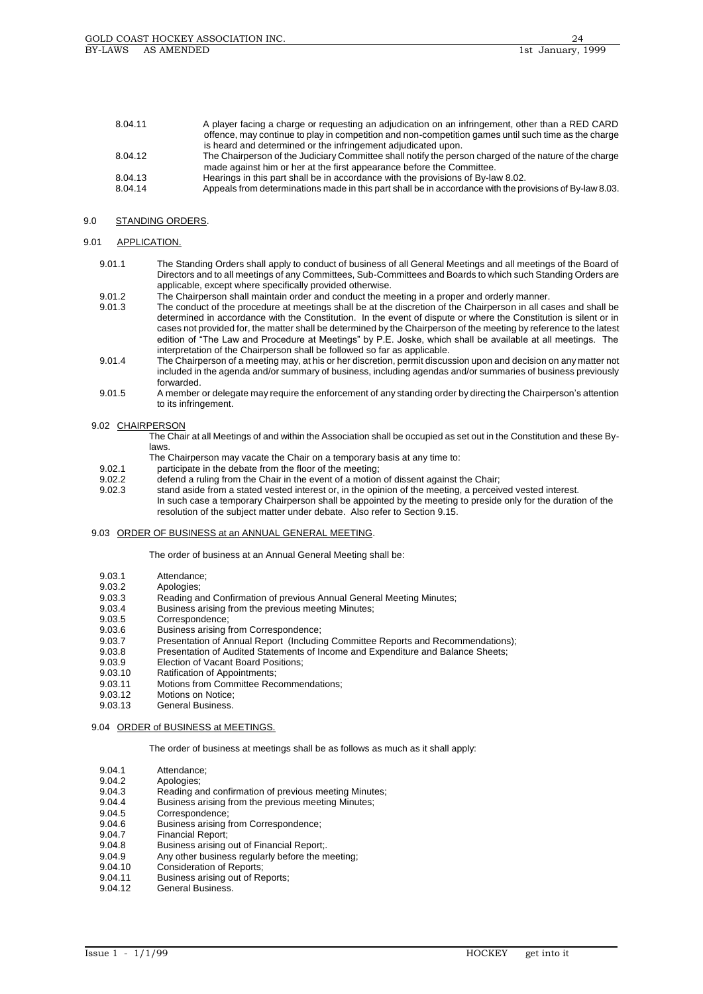| 8.04.11 | A player facing a charge or requesting an adjudication on an infringement, other than a RED CARD         |
|---------|----------------------------------------------------------------------------------------------------------|
|         | offence, may continue to play in competition and non-competition games until such time as the charge     |
|         | is heard and determined or the infringement adjudicated upon.                                            |
| 8.04.12 | The Chairperson of the Judiciary Committee shall notify the person charged of the nature of the charge   |
|         | made against him or her at the first appearance before the Committee.                                    |
| 8.04.13 | Hearings in this part shall be in accordance with the provisions of By-law 8.02.                         |
| 8.04.14 | Appeals from determinations made in this part shall be in accordance with the provisions of By-law 8.03. |

# 9.0 STANDING ORDERS.

# 9.01 APPLICATION.

- 9.01.1 The Standing Orders shall apply to conduct of business of all General Meetings and all meetings of the Board of Directors and to all meetings of any Committees, Sub-Committees and Boards to which such Standing Orders are applicable, except where specifically provided otherwise.
- 9.01.2 The Chairperson shall maintain order and conduct the meeting in a proper and orderly manner.
- 9.01.3 The conduct of the procedure at meetings shall be at the discretion of the Chairperson in all cases and shall be determined in accordance with the Constitution. In the event of dispute or where the Constitution is silent or in cases not provided for, the matter shall be determined by the Chairperson of the meeting by reference to the latest edition of "The Law and Procedure at Meetings" by P.E. Joske, which shall be available at all meetings. The interpretation of the Chairperson shall be followed so far as applicable.
- 9.01.4 The Chairperson of a meeting may, at his or her discretion, permit discussion upon and decision on any matter not included in the agenda and/or summary of business, including agendas and/or summaries of business previously forwarded.
- 9.01.5 A member or delegate may require the enforcement of any standing order by directing the Chairperson's attention to its infringement.

# 9.02 CHAIRPERSON

The Chair at all Meetings of and within the Association shall be occupied as set out in the Constitution and these Bylaws.

- The Chairperson may vacate the Chair on a temporary basis at any time to:
- 9.02.1 participate in the debate from the floor of the meeting;
- 9.02.2 defend a ruling from the Chair in the event of a motion of dissent against the Chair;<br>9.02.3 stand aside from a stated vested interest or in the opinion of the meeting a perceivi
- stand aside from a stated vested interest or, in the opinion of the meeting, a perceived vested interest. In such case a temporary Chairperson shall be appointed by the meeting to preside only for the duration of the resolution of the subject matter under debate. Also refer to Section 9.15.

## 9.03 ORDER OF BUSINESS at an ANNUAL GENERAL MEETING

The order of business at an Annual General Meeting shall be:

- 9.03.1 Attendance;<br>9.03.2 Apologies;
- 9.03.2 Apologies;<br>9.03.3 Reading a
- Reading and Confirmation of previous Annual General Meeting Minutes;
- 9.03.4 Business arising from the previous meeting Minutes;<br>9.03.5 Correspondence:
- 9.03.5 Correspondence;<br>9.03.6 Business arising f
- Business arising from Correspondence:
- 9.03.7 Presentation of Annual Report (Including Committee Reports and Recommendations);
- 9.03.8 Presentation of Audited Statements of Income and Expenditure and Balance Sheets;
- 9.03.9 Election of Vacant Board Positions;<br>9.03.10 Ratification of Appointments:
- 9.03.10 Ratification of Appointments;<br>9.03.11 Motions from Committee Rec
- Motions from Committee Recommendations:
- 9.03.12 Motions on Notice;
- 9.03.13 General Business.

#### 9.04 ORDER of BUSINESS at MEETINGS.

The order of business at meetings shall be as follows as much as it shall apply:

- 9.04.1 Attendance;<br>9.04.2 Apologies;
- Apologies;
- 9.04.3 Reading and confirmation of previous meeting Minutes;<br>9.04.4 Business arising from the previous meeting Minutes:
- 9.04.4 Business arising from the previous meeting Minutes;<br>9.04.5 Correspondence:
- Correspondence:
- 9.04.6 Business arising from Correspondence;<br>9.04.7 Financial Report;
- 9.04.7 Financial Report;<br>9.04.8 Business arising
- Business arising out of Financial Report;.
- 9.04.9 Any other business regularly before the meeting;<br>9.04.10 Consideration of Benorts:
- 
- 9.04.10 Consideration of Reports;<br>9.04.11 Business arising out of Re 9.04.11 Business arising out of Reports;<br>9.04.12 General Business.
- General Business.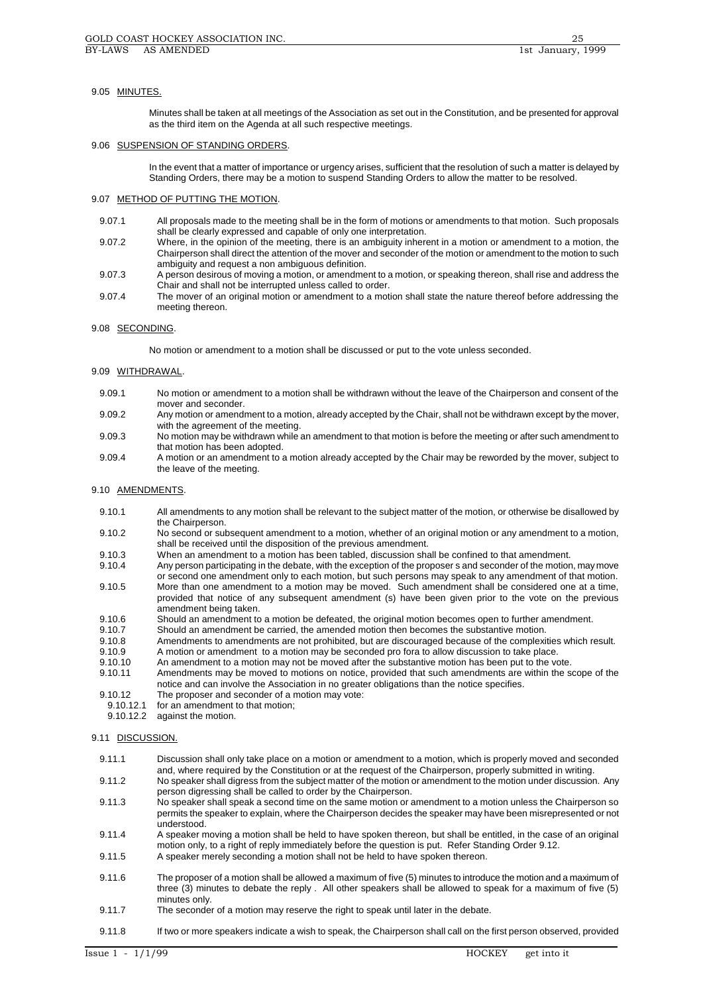## 9.05 MINUTES.

Minutes shall be taken at all meetings of the Association as set out in the Constitution, and be presented for approval as the third item on the Agenda at all such respective meetings.

#### 9.06 SUSPENSION OF STANDING ORDERS.

In the event that a matter of importance or urgency arises, sufficient that the resolution of such a matter is delayed by Standing Orders, there may be a motion to suspend Standing Orders to allow the matter to be resolved.

## 9.07 METHOD OF PUTTING THE MOTION.

- 9.07.1 All proposals made to the meeting shall be in the form of motions or amendments to that motion. Such proposals shall be clearly expressed and capable of only one interpretation.
- 9.07.2 Where, in the opinion of the meeting, there is an ambiguity inherent in a motion or amendment to a motion, the Chairperson shall direct the attention of the mover and seconder of the motion or amendment to the motion to such ambiguity and request a non ambiguous definition.
- 9.07.3 A person desirous of moving a motion, or amendment to a motion, or speaking thereon, shall rise and address the Chair and shall not be interrupted unless called to order.
- 9.07.4 The mover of an original motion or amendment to a motion shall state the nature thereof before addressing the meeting thereon.

# 9.08 SECONDING.

No motion or amendment to a motion shall be discussed or put to the vote unless seconded.

# 9.09 WITHDRAWAL.

- 9.09.1 No motion or amendment to a motion shall be withdrawn without the leave of the Chairperson and consent of the mover and seconder.
- 9.09.2 Any motion or amendment to a motion, already accepted by the Chair, shall not be withdrawn except by the mover, with the agreement of the meeting.
- 9.09.3 No motion may be withdrawn while an amendment to that motion is before the meeting or after such amendment to that motion has been adopted.
- 9.09.4 A motion or an amendment to a motion already accepted by the Chair may be reworded by the mover, subject to the leave of the meeting.

#### 9.10 AMENDMENTS.

- 9.10.1 All amendments to any motion shall be relevant to the subject matter of the motion, or otherwise be disallowed by the Chairperson.
- 9.10.2 No second or subsequent amendment to a motion, whether of an original motion or any amendment to a motion, shall be received until the disposition of the previous amendment.
- 9.10.3 When an amendment to a motion has been tabled, discussion shall be confined to that amendment.

9.10.4 Any person participating in the debate, with the exception of the proposer s and seconder of the motion, may move or second one amendment only to each motion, but such persons may speak to any amendment of that motion.

- 9.10.5 More than one amendment to a motion may be moved. Such amendment shall be considered one at a time, provided that notice of any subsequent amendment (s) have been given prior to the vote on the previous amendment being taken.
- 9.10.6 Should an amendment to a motion be defeated, the original motion becomes open to further amendment.<br>9.10.7 Should an amendment be carried, the amended motion then becomes the substantive motion.
- Should an amendment be carried, the amended motion then becomes the substantive motion.
- 9.10.8 Amendments to amendments are not prohibited, but are discouraged because of the complexities which result.
- 9.10.9 A motion or amendment to a motion may be seconded pro fora to allow discussion to take place.
- 9.10.10 An amendment to a motion may not be moved after the substantive motion has been put to the vote.<br>9.10.11 Amendments may be moved to motions on notice, provided that such amendments are within the s
- Amendments may be moved to motions on notice, provided that such amendments are within the scope of the notice and can involve the Association in no greater obligations than the notice specifies.
- 9.10.12 The proposer and seconder of a motion may vote:<br>9.10.12.1 for an amendment to that motion:
- for an amendment to that motion;
- 9.10.12.2 against the motion.

## 9.11 DISCUSSION.

- 9.11.1 Discussion shall only take place on a motion or amendment to a motion, which is properly moved and seconded and, where required by the Constitution or at the request of the Chairperson, properly submitted in writing. 9.11.2 No speaker shall digress from the subject matter of the motion or amendment to the motion under discussion. Any person digressing shall be called to order by the Chairperson. 9.11.3 No speaker shall speak a second time on the same motion or amendment to a motion unless the Chairperson so permits the speaker to explain, where the Chairperson decides the speaker may have been misrepresented or not understood. 9.11.4 A speaker moving a motion shall be held to have spoken thereon, but shall be entitled, in the case of an original motion only, to a right of reply immediately before the question is put. Refer Standing Order 9.12. 9.11.5 A speaker merely seconding a motion shall not be held to have spoken thereon. 9.11.6 The proposer of a motion shall be allowed a maximum of five (5) minutes to introduce the motion and a maximum of three (3) minutes to debate the reply . All other speakers shall be allowed to speak for a maximum of five (5) minutes only. 9.11.7 The seconder of a motion may reserve the right to speak until later in the debate.
- 9.11.8 If two or more speakers indicate a wish to speak, the Chairperson shall call on the first person observed, provided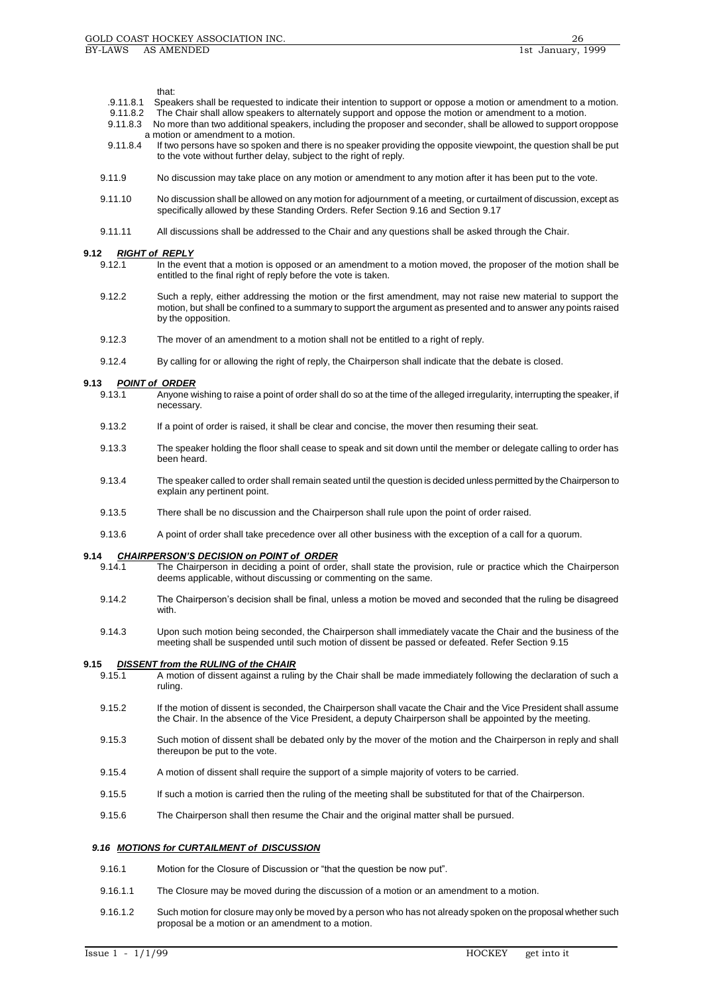#### that:

- .9.11.8.1 Speakers shall be requested to indicate their intention to support or oppose a motion or amendment to a motion.
- The Chair shall allow speakers to alternately support and oppose the motion or amendment to a motion.
- 9.11.8.3 No more than two additional speakers, including the proposer and seconder, shall be allowed to support oroppose a motion or amendment to a motion.<br>9.11.8.4 If two persons have so spoken and
- If two persons have so spoken and there is no speaker providing the opposite viewpoint, the question shall be put to the vote without further delay, subject to the right of reply.
- 9.11.9 No discussion may take place on any motion or amendment to any motion after it has been put to the vote.
- 9.11.10 No discussion shall be allowed on any motion for adjournment of a meeting, or curtailment of discussion, except as specifically allowed by these Standing Orders. Refer Section 9.16 and Section 9.17
- 9.11.11 All discussions shall be addressed to the Chair and any questions shall be asked through the Chair.

# **9.12 RIGHT of REPLY**<br>9.12.1 **In the evi-**

- In the event that a motion is opposed or an amendment to a motion moved, the proposer of the motion shall be entitled to the final right of reply before the vote is taken.
- 9.12.2 Such a reply, either addressing the motion or the first amendment, may not raise new material to support the motion, but shall be confined to a summary to support the argument as presented and to answer any points raised by the opposition.
- 9.12.3 The mover of an amendment to a motion shall not be entitled to a right of reply.
- 9.12.4 By calling for or allowing the right of reply, the Chairperson shall indicate that the debate is closed.

# **9.13** *POINT of ORDER*

- Anyone wishing to raise a point of order shall do so at the time of the alleged irregularity, interrupting the speaker, if necessary.
- 9.13.2 If a point of order is raised, it shall be clear and concise, the mover then resuming their seat.
- 9.13.3 The speaker holding the floor shall cease to speak and sit down until the member or delegate calling to order has been heard.
- 9.13.4 The speaker called to order shall remain seated until the question is decided unless permitted by the Chairperson to explain any pertinent point.
- 9.13.5 There shall be no discussion and the Chairperson shall rule upon the point of order raised.
- 9.13.6 A point of order shall take precedence over all other business with the exception of a call for a quorum.

### **9.14** *CHAIRPERSON'S DECISION on POINT of ORDER*

- 9.14.1 The Chairperson in deciding a point of order, shall state the provision, rule or practice which the Chairperson deems applicable, without discussing or commenting on the same.
- 9.14.2 The Chairperson's decision shall be final, unless a motion be moved and seconded that the ruling be disagreed with.
- 9.14.3 Upon such motion being seconded, the Chairperson shall immediately vacate the Chair and the business of the meeting shall be suspended until such motion of dissent be passed or defeated. Refer Section 9.15

# **9.15** *DISSENT from the RULING of the CHAIR*

- 9.15.1 A motion of dissent against a ruling by the Chair shall be made immediately following the declaration of such a ruling.
- 9.15.2 If the motion of dissent is seconded, the Chairperson shall vacate the Chair and the Vice President shall assume the Chair. In the absence of the Vice President, a deputy Chairperson shall be appointed by the meeting.
- 9.15.3 Such motion of dissent shall be debated only by the mover of the motion and the Chairperson in reply and shall thereupon be put to the vote.
- 9.15.4 A motion of dissent shall require the support of a simple majority of voters to be carried.
- 9.15.5 If such a motion is carried then the ruling of the meeting shall be substituted for that of the Chairperson.
- 9.15.6 The Chairperson shall then resume the Chair and the original matter shall be pursued.

#### *9.16 MOTIONS for CURTAILMENT of DISCUSSION*

- 9.16.1 Motion for the Closure of Discussion or "that the question be now put".
- 9.16.1.1 The Closure may be moved during the discussion of a motion or an amendment to a motion.
- 9.16.1.2 Such motion for closure may only be moved by a person who has not already spoken on the proposal whether such proposal be a motion or an amendment to a motion.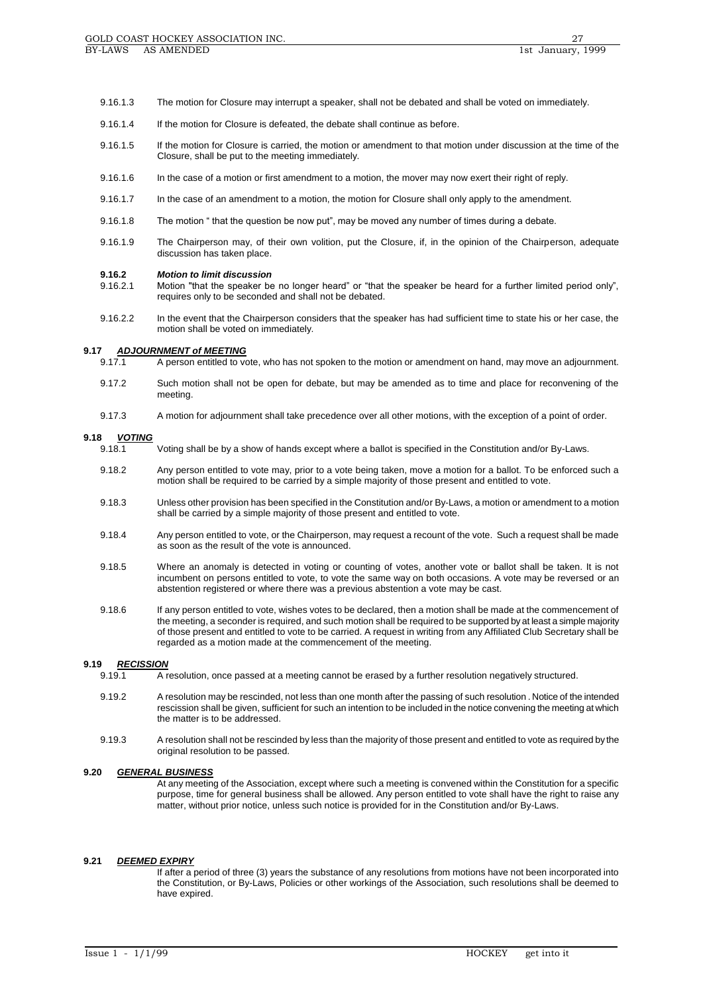- 9.16.1.3 The motion for Closure may interrupt a speaker, shall not be debated and shall be voted on immediately.
- 9.16.1.4 If the motion for Closure is defeated, the debate shall continue as before.
- 9.16.1.5 If the motion for Closure is carried, the motion or amendment to that motion under discussion at the time of the Closure, shall be put to the meeting immediately.
- 9.16.1.6 In the case of a motion or first amendment to a motion, the mover may now exert their right of reply.
- 9.16.1.7 In the case of an amendment to a motion, the motion for Closure shall only apply to the amendment.
- 9.16.1.8 The motion " that the question be now put", may be moved any number of times during a debate.
- 9.16.1.9 The Chairperson may, of their own volition, put the Closure, if, in the opinion of the Chairperson, adequate discussion has taken place.

#### **9.16.2** *Motion to limit discussion*

- 9.16.2.1 Motion "that the speaker be no longer heard" or "that the speaker be heard for a further limited period only", requires only to be seconded and shall not be debated.
- 9.16.2.2 In the event that the Chairperson considers that the speaker has had sufficient time to state his or her case, the motion shall be voted on immediately.

# **9.17 ADJOURNMENT of MEETING**<br>9.17.1 A person entitled to vo

- A person entitled to vote, who has not spoken to the motion or amendment on hand, may move an adjournment.
- 9.17.2 Such motion shall not be open for debate, but may be amended as to time and place for reconvening of the meeting.
- 9.17.3 A motion for adjournment shall take precedence over all other motions, with the exception of a point of order.

#### **9.18** *VOTING*

- 9.18.1 Voting shall be by a show of hands except where a ballot is specified in the Constitution and/or By-Laws.
- 9.18.2 Any person entitled to vote may, prior to a vote being taken, move a motion for a ballot. To be enforced such a motion shall be required to be carried by a simple majority of those present and entitled to vote.
- 9.18.3 Unless other provision has been specified in the Constitution and/or By-Laws, a motion or amendment to a motion shall be carried by a simple majority of those present and entitled to vote.
- 9.18.4 Any person entitled to vote, or the Chairperson, may request a recount of the vote. Such a request shall be made as soon as the result of the vote is announced.
- 9.18.5 Where an anomaly is detected in voting or counting of votes, another vote or ballot shall be taken. It is not incumbent on persons entitled to vote, to vote the same way on both occasions. A vote may be reversed or an abstention registered or where there was a previous abstention a vote may be cast.
- 9.18.6 If any person entitled to vote, wishes votes to be declared, then a motion shall be made at the commencement of the meeting, a seconder is required, and such motion shall be required to be supported by at least a simple majority of those present and entitled to vote to be carried. A request in writing from any Affiliated Club Secretary shall be regarded as a motion made at the commencement of the meeting.

## **9.19** *RECISSION*

- 9.19.1 A resolution, once passed at a meeting cannot be erased by a further resolution negatively structured.
- 9.19.2 A resolution may be rescinded, not less than one month after the passing of such resolution . Notice of the intended rescission shall be given, sufficient for such an intention to be included in the notice convening the meeting at which the matter is to be addressed.
- 9.19.3 A resolution shall not be rescinded by less than the majority of those present and entitled to vote as required by the original resolution to be passed.

### **9.20** *GENERAL BUSINESS*

At any meeting of the Association, except where such a meeting is convened within the Constitution for a specific purpose, time for general business shall be allowed. Any person entitled to vote shall have the right to raise any matter, without prior notice, unless such notice is provided for in the Constitution and/or By-Laws.

#### **9.21** *DEEMED EXPIRY*

If after a period of three (3) years the substance of any resolutions from motions have not been incorporated into the Constitution, or By-Laws, Policies or other workings of the Association, such resolutions shall be deemed to have expired.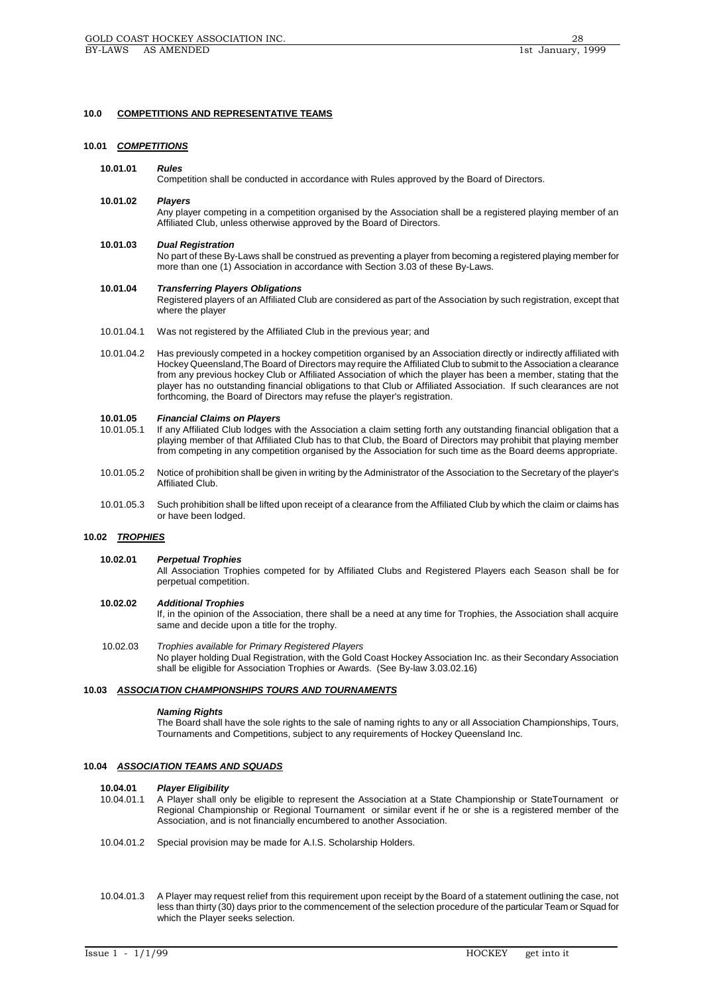### **10.0 COMPETITIONS AND REPRESENTATIVE TEAMS**

#### **10.01** *COMPETITIONS*

#### **10.01.01** *Rules*

Competition shall be conducted in accordance with Rules approved by the Board of Directors.

## **10.01.02** *Players*

Any player competing in a competition organised by the Association shall be a registered playing member of an Affiliated Club, unless otherwise approved by the Board of Directors.

# **10.01.03** *Dual Registration*

No part of these By-Laws shall be construed as preventing a player from becoming a registered playing member for more than one (1) Association in accordance with Section 3.03 of these By-Laws.

## **10.01.04** *Transferring Players Obligations*

Registered players of an Affiliated Club are considered as part of the Association by such registration, except that where the player

- 10.01.04.1 Was not registered by the Affiliated Club in the previous year; and
- 10.01.04.2 Has previously competed in a hockey competition organised by an Association directly or indirectly affiliated with Hockey Queensland,The Board of Directors may require the Affiliated Club to submit to the Association a clearance from any previous hockey Club or Affiliated Association of which the player has been a member, stating that the player has no outstanding financial obligations to that Club or Affiliated Association. If such clearances are not forthcoming, the Board of Directors may refuse the player's registration.

#### **10.01.05** *Financial Claims on Players*

- 10.01.05.1 If any Affiliated Club lodges with the Association a claim setting forth any outstanding financial obligation that a playing member of that Affiliated Club has to that Club, the Board of Directors may prohibit that playing member from competing in any competition organised by the Association for such time as the Board deems appropriate.
- 10.01.05.2 Notice of prohibition shall be given in writing by the Administrator of the Association to the Secretary of the player's Affiliated Club.
- 10.01.05.3 Such prohibition shall be lifted upon receipt of a clearance from the Affiliated Club by which the claim or claims has or have been lodged.

## **10.02** *TROPHIES*

#### **10.02.01** *Perpetual Trophies*

All Association Trophies competed for by Affiliated Clubs and Registered Players each Season shall be for perpetual competition.

#### **10.02.02** *Additional Trophies*

If, in the opinion of the Association, there shall be a need at any time for Trophies, the Association shall acquire same and decide upon a title for the trophy.

10.02.03 *Trophies available for Primary Registered Players* No player holding Dual Registration, with the Gold Coast Hockey Association Inc. as their Secondary Association shall be eligible for Association Trophies or Awards. (See By-law 3.03.02.16)

## **10.03** *ASSOCIATION CHAMPIONSHIPS TOURS AND TOURNAMENTS*

#### *Naming Rights*

The Board shall have the sole rights to the sale of naming rights to any or all Association Championships, Tours, Tournaments and Competitions, subject to any requirements of Hockey Queensland Inc.

#### **10.04** *ASSOCIATION TEAMS AND SQUADS*

## **10.04.01** *Player Eligibility*

- 10.04.01.1 A Player shall only be eligible to represent the Association at a State Championship or StateTournament or Regional Championship or Regional Tournament or similar event if he or she is a registered member of the Association, and is not financially encumbered to another Association.
- 10.04.01.2 Special provision may be made for A.I.S. Scholarship Holders.
- 10.04.01.3 A Player may request relief from this requirement upon receipt by the Board of a statement outlining the case, not less than thirty (30) days prior to the commencement of the selection procedure of the particular Team or Squad for which the Player seeks selection.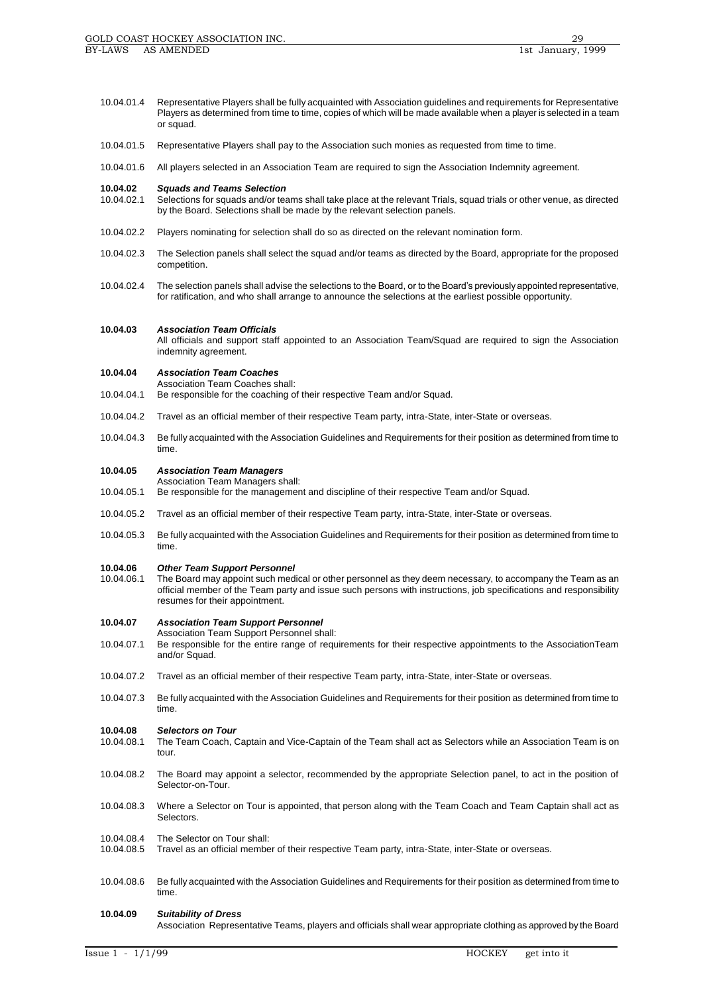- 10.04.01.4 Representative Players shall be fully acquainted with Association guidelines and requirements for Representative Players as determined from time to time, copies of which will be made available when a player is selected in a team or squad.
- 10.04.01.5 Representative Players shall pay to the Association such monies as requested from time to time.
- 10.04.01.6 All players selected in an Association Team are required to sign the Association Indemnity agreement.

# **10.04.02** *Squads and Teams Selection*

- Selections for squads and/or teams shall take place at the relevant Trials, squad trials or other venue, as directed by the Board. Selections shall be made by the relevant selection panels.
- 10.04.02.2 Players nominating for selection shall do so as directed on the relevant nomination form.
- 10.04.02.3 The Selection panels shall select the squad and/or teams as directed by the Board, appropriate for the proposed competition.
- 10.04.02.4 The selection panels shall advise the selections to the Board, or to the Board's previously appointed representative, for ratification, and who shall arrange to announce the selections at the earliest possible opportunity.

## **10.04.03** *Association Team Officials*

All officials and support staff appointed to an Association Team/Squad are required to sign the Association indemnity agreement.

#### **10.04.04** *Association Team Coaches*

Association Team Coaches shall:

- 10.04.04.1 Be responsible for the coaching of their respective Team and/or Squad.
- 10.04.04.2 Travel as an official member of their respective Team party, intra-State, inter-State or overseas.
- 10.04.04.3 Be fully acquainted with the Association Guidelines and Requirements for their position as determined from time to time.

## **10.04.05** *Association Team Managers*

- Association Team Managers shall:
- 10.04.05.1 Be responsible for the management and discipline of their respective Team and/or Squad.
- 10.04.05.2 Travel as an official member of their respective Team party, intra-State, inter-State or overseas.
- 10.04.05.3 Be fully acquainted with the Association Guidelines and Requirements for their position as determined from time to time.

#### **10.04.06** *Other Team Support Personnel*

- 10.04.06.1 The Board may appoint such medical or other personnel as they deem necessary, to accompany the Team as an official member of the Team party and issue such persons with instructions, job specifications and responsibility resumes for their appointment.
- **10.04.07** *Association Team Support Personnel*
- Association Team Support Personnel shall:
- 10.04.07.1 Be responsible for the entire range of requirements for their respective appointments to the AssociationTeam and/or Squad.
- 10.04.07.2 Travel as an official member of their respective Team party, intra-State, inter-State or overseas.
- 10.04.07.3 Be fully acquainted with the Association Guidelines and Requirements for their position as determined from time to time.

# **10.04.08** *Selectors on Tour*

- The Team Coach, Captain and Vice-Captain of the Team shall act as Selectors while an Association Team is on tour.
- 10.04.08.2 The Board may appoint a selector, recommended by the appropriate Selection panel, to act in the position of Selector-on-Tour.
- 10.04.08.3 Where a Selector on Tour is appointed, that person along with the Team Coach and Team Captain shall act as Selectors.

# 10.04.08.4 The Selector on Tour shall:<br>10.04.08.5 Travel as an official membe

- Travel as an official member of their respective Team party, intra-State, inter-State or overseas.
- 10.04.08.6 Be fully acquainted with the Association Guidelines and Requirements for their position as determined from time to time.

#### **10.04.09** *Suitability of Dress*

Association Representative Teams, players and officials shall wear appropriate clothing as approved by the Board